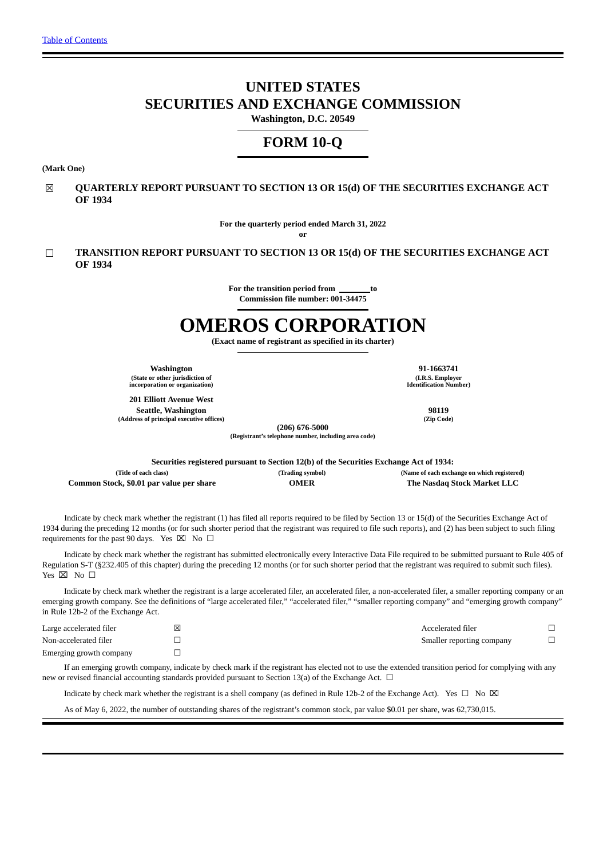# **UNITED STATES SECURITIES AND EXCHANGE COMMISSION**

**Washington, D.C. 20549**

# **FORM 10-Q**

**(Mark One)**

☒ **QUARTERLY REPORT PURSUANT TO SECTION 13 OR 15(d) OF THE SECURITIES EXCHANGE ACT OF 1934**

**For the quarterly period ended March 31, 2022**

**or**

☐ **TRANSITION REPORT PURSUANT TO SECTION 13 OR 15(d) OF THE SECURITIES EXCHANGE ACT OF 1934**

> **For the transition period from \_\_\_\_\_\_\_ to Commission file number: 001-34475**

# **OMEROS CORPORATION**

**(Exact name of registrant as specified in its charter)**

**(State or other jurisdiction of incorporation or organization)**

**201 Elliott Avenue West Seattle, Washington 98119 (Address of principal executive offices) (Zip Code)**

**Washington 91-1663741 (I.R.S. Employer Identification Number)**

**(206) 676-5000 (Registrant's telephone number, including area code)**

| Securities registered pursuant to Section 12(b) of the Securities Exchange Act of 1934: |                  |                                             |  |  |  |  |
|-----------------------------------------------------------------------------------------|------------------|---------------------------------------------|--|--|--|--|
| (Title of each class)                                                                   | (Trading symbol) | (Name of each exchange on which registered) |  |  |  |  |
| Common Stock, \$0.01 par value per share                                                | <b>OMER</b>      | The Nasdag Stock Market LLC                 |  |  |  |  |

Indicate by check mark whether the registrant (1) has filed all reports required to be filed by Section 13 or 15(d) of the Securities Exchange Act of 1934 during the preceding 12 months (or for such shorter period that the registrant was required to file such reports), and (2) has been subject to such filing requirements for the past 90 days. Yes  $\boxtimes$  No  $\Box$ 

Indicate by check mark whether the registrant has submitted electronically every Interactive Data File required to be submitted pursuant to Rule 405 of Regulation S-T (§232.405 of this chapter) during the preceding 12 months (or for such shorter period that the registrant was required to submit such files). Yes ⊠ No □

Indicate by check mark whether the registrant is a large accelerated filer, an accelerated filer, a non-accelerated filer, a smaller reporting company or an emerging growth company. See the definitions of "large accelerated filer," "accelerated filer," "smaller reporting company" and "emerging growth company" in Rule 12b-2 of the Exchange Act.

| Large accelerated filer | Accelerated filer         |  |
|-------------------------|---------------------------|--|
| Non-accelerated filer   | Smaller reporting company |  |
| Emerging growth company |                           |  |

If an emerging growth company, indicate by check mark if the registrant has elected not to use the extended transition period for complying with any new or revised financial accounting standards provided pursuant to Section 13(a) of the Exchange Act.  $\Box$ 

Indicate by check mark whether the registrant is a shell company (as defined in Rule 12b-2 of the Exchange Act). Yes  $\Box$  No  $\boxtimes$ 

As of May 6, 2022, the number of outstanding shares of the registrant's common stock, par value \$0.01 per share, was 62,730,015.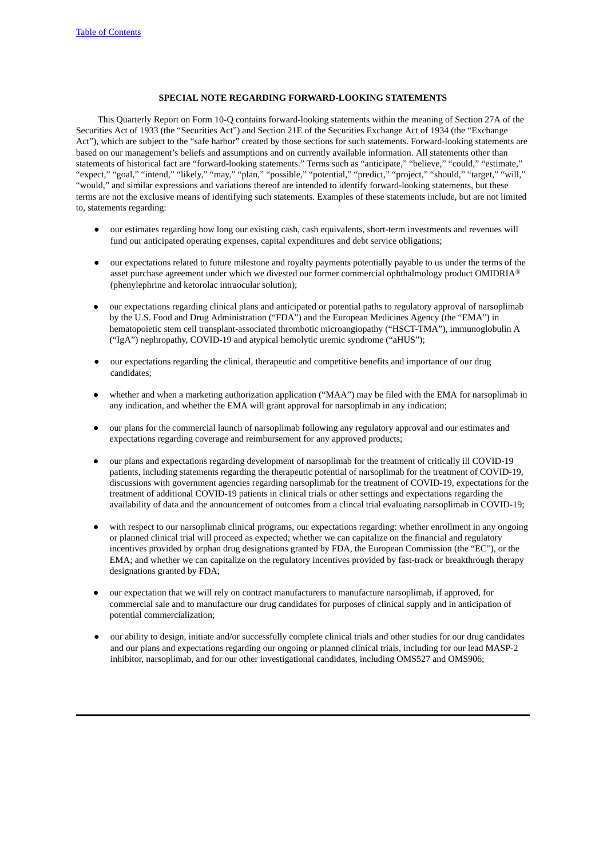#### **SPECIAL NOTE REGARDING FORWARD-LOOKING STATEMENTS**

This Quarterly Report on Form 10-Q contains forward-looking statements within the meaning of Section 27A of the Securities Act of 1933 (the "Securities Act") and Section 21E of the Securities Exchange Act of 1934 (the "Exchange Act"), which are subject to the "safe harbor" created by those sections for such statements. Forward-looking statements are based on our management's beliefs and assumptions and on currently available information. All statements other than statements of historical fact are "forward-looking statements." Terms such as "anticipate," "believe," "could," "estimate," "expect," "goal," "intend," "likely," "may," "plan," "possible," "potential," "predict," "project," "should," "target," "will," "would," and similar expressions and variations thereof are intended to identify forward-looking statements, but these terms are not the exclusive means of identifying such statements. Examples of these statements include, but are not limited to, statements regarding:

- our estimates regarding how long our existing cash, cash equivalents, short-term investments and revenues will fund our anticipated operating expenses, capital expenditures and debt service obligations;
- our expectations related to future milestone and royalty payments potentially payable to us under the terms of the asset purchase agreement under which we divested our former commercial ophthalmology product  $OMIDRIA^{\circledR}$ (phenylephrine and ketorolac intraocular solution);
- our expectations regarding clinical plans and anticipated or potential paths to regulatory approval of narsoplimab by the U.S. Food and Drug Administration ("FDA") and the European Medicines Agency (the "EMA") in hematopoietic stem cell transplant-associated thrombotic microangiopathy ("HSCT-TMA"), immunoglobulin A ("IgA") nephropathy, COVID-19 and atypical hemolytic uremic syndrome ("aHUS");
- our expectations regarding the clinical, therapeutic and competitive benefits and importance of our drug candidates;
- whether and when a marketing authorization application ("MAA") may be filed with the EMA for narsoplimab in any indication, and whether the EMA will grant approval for narsoplimab in any indication;
- our plans for the commercial launch of narsoplimab following any regulatory approval and our estimates and expectations regarding coverage and reimbursement for any approved products;
- our plans and expectations regarding development of narsoplimab for the treatment of critically ill COVID-19 patients, including statements regarding the therapeutic potential of narsoplimab for the treatment of COVID-19, discussions with government agencies regarding narsoplimab for the treatment of COVID-19, expectations for the treatment of additional COVID-19 patients in clinical trials or other settings and expectations regarding the availability of data and the announcement of outcomes from a clincal trial evaluating narsoplimab in COVID-19;
- with respect to our narsoplimab clinical programs, our expectations regarding: whether enrollment in any ongoing or planned clinical trial will proceed as expected; whether we can capitalize on the financial and regulatory incentives provided by orphan drug designations granted by FDA, the European Commission (the "EC"), or the EMA; and whether we can capitalize on the regulatory incentives provided by fast-track or breakthrough therapy designations granted by FDA;
- our expectation that we will rely on contract manufacturers to manufacture narsoplimab, if approved, for commercial sale and to manufacture our drug candidates for purposes of clinical supply and in anticipation of potential commercialization;
- our ability to design, initiate and/or successfully complete clinical trials and other studies for our drug candidates and our plans and expectations regarding our ongoing or planned clinical trials, including for our lead MASP-2 inhibitor, narsoplimab, and for our other investigational candidates, including OMS527 and OMS906;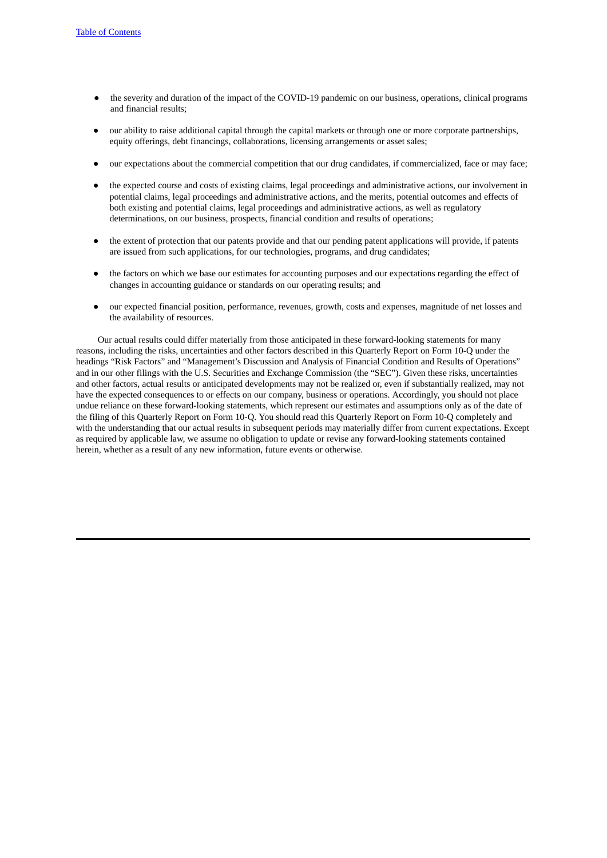- the severity and duration of the impact of the COVID-19 pandemic on our business, operations, clinical programs and financial results;
- our ability to raise additional capital through the capital markets or through one or more corporate partnerships, equity offerings, debt financings, collaborations, licensing arrangements or asset sales;
- our expectations about the commercial competition that our drug candidates, if commercialized, face or may face;
- the expected course and costs of existing claims, legal proceedings and administrative actions, our involvement in potential claims, legal proceedings and administrative actions, and the merits, potential outcomes and effects of both existing and potential claims, legal proceedings and administrative actions, as well as regulatory determinations, on our business, prospects, financial condition and results of operations;
- the extent of protection that our patents provide and that our pending patent applications will provide, if patents are issued from such applications, for our technologies, programs, and drug candidates;
- the factors on which we base our estimates for accounting purposes and our expectations regarding the effect of changes in accounting guidance or standards on our operating results; and
- our expected financial position, performance, revenues, growth, costs and expenses, magnitude of net losses and the availability of resources.

Our actual results could differ materially from those anticipated in these forward-looking statements for many reasons, including the risks, uncertainties and other factors described in this Quarterly Report on Form 10-Q under the headings "Risk Factors" and "Management's Discussion and Analysis of Financial Condition and Results of Operations" and in our other filings with the U.S. Securities and Exchange Commission (the "SEC"). Given these risks, uncertainties and other factors, actual results or anticipated developments may not be realized or, even if substantially realized, may not have the expected consequences to or effects on our company, business or operations. Accordingly, you should not place undue reliance on these forward-looking statements, which represent our estimates and assumptions only as of the date of the filing of this Quarterly Report on Form 10-Q. You should read this Quarterly Report on Form 10-Q completely and with the understanding that our actual results in subsequent periods may materially differ from current expectations. Except as required by applicable law, we assume no obligation to update or revise any forward-looking statements contained herein, whether as a result of any new information, future events or otherwise.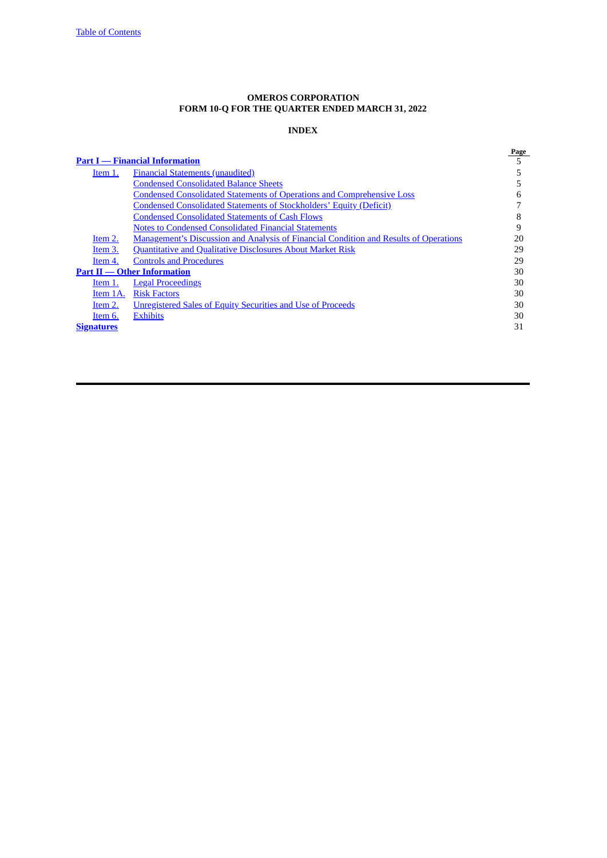### **OMEROS CORPORATION FORM 10-Q FOR THE QUARTER ENDED MARCH 31, 2022**

### **INDEX**

<span id="page-3-0"></span>

|                   |                                                                                       | Page |
|-------------------|---------------------------------------------------------------------------------------|------|
|                   | <b>Part I</b> — Financial Information                                                 | 5    |
| Item 1.           | <b>Financial Statements (unaudited)</b>                                               | 5    |
|                   | <b>Condensed Consolidated Balance Sheets</b>                                          | 5    |
|                   | <b>Condensed Consolidated Statements of Operations and Comprehensive Loss</b>         | 6    |
|                   | <b>Condensed Consolidated Statements of Stockholders' Equity (Deficit)</b>            |      |
|                   | <b>Condensed Consolidated Statements of Cash Flows</b>                                | 8    |
|                   | <b>Notes to Condensed Consolidated Financial Statements</b>                           | 9    |
| Item 2.           | Management's Discussion and Analysis of Financial Condition and Results of Operations | 20   |
| Item 3.           | <b>Quantitative and Qualitative Disclosures About Market Risk</b>                     | 29   |
| Item 4.           | <b>Controls and Procedures</b>                                                        | 29   |
|                   | <b>Part II — Other Information</b>                                                    | 30   |
| Item 1.           | <b>Legal Proceedings</b>                                                              | 30   |
| Item 1A.          | <b>Risk Factors</b>                                                                   | 30   |
| Item 2.           | Unregistered Sales of Equity Securities and Use of Proceeds                           | 30   |
| Item 6.           | <b>Exhibits</b>                                                                       | 30   |
| <b>Signatures</b> |                                                                                       | 31   |
|                   |                                                                                       |      |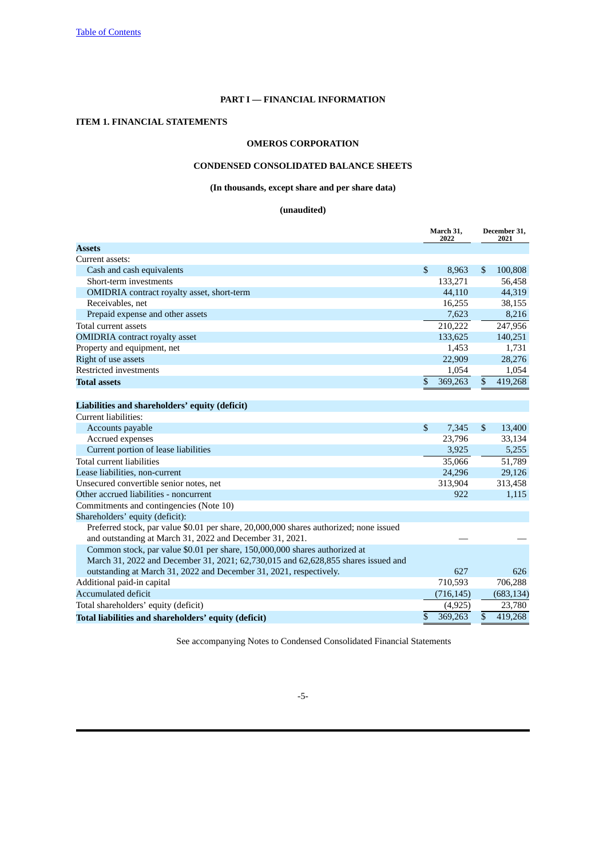### **PART I — FINANCIAL INFORMATION**

### <span id="page-4-2"></span><span id="page-4-1"></span><span id="page-4-0"></span>**ITEM 1. FINANCIAL STATEMENTS**

### **OMEROS CORPORATION**

### **CONDENSED CONSOLIDATED BALANCE SHEETS**

### **(In thousands, except share and per share data)**

### **(unaudited)**

|                                                                                        |              | March 31,<br>2022 |              | December 31,<br>2021 |
|----------------------------------------------------------------------------------------|--------------|-------------------|--------------|----------------------|
| <b>Assets</b>                                                                          |              |                   |              |                      |
| Current assets:                                                                        |              |                   |              |                      |
| Cash and cash equivalents                                                              | $\mathbb{S}$ | 8,963             | \$           | 100,808              |
| Short-term investments                                                                 |              | 133,271           |              | 56,458               |
| OMIDRIA contract royalty asset, short-term                                             |              | 44,110            |              | 44,319               |
| Receivables, net                                                                       |              | 16,255            |              | 38,155               |
| Prepaid expense and other assets                                                       |              | 7,623             |              | 8,216                |
| Total current assets                                                                   |              | 210,222           |              | 247,956              |
| <b>OMIDRIA</b> contract royalty asset                                                  |              | 133,625           |              | 140,251              |
| Property and equipment, net                                                            |              | 1,453             |              | 1,731                |
| Right of use assets                                                                    |              | 22,909            |              | 28,276               |
| <b>Restricted investments</b>                                                          |              | 1,054             |              | 1,054                |
| <b>Total assets</b>                                                                    | \$           | 369,263           | \$           | 419,268              |
|                                                                                        |              |                   |              |                      |
| Liabilities and shareholders' equity (deficit)                                         |              |                   |              |                      |
| Current liabilities:                                                                   |              |                   |              |                      |
| Accounts payable                                                                       | $\mathbb{S}$ | 7,345             | $\mathbb{S}$ | 13,400               |
| Accrued expenses                                                                       |              | 23,796            |              | 33,134               |
| Current portion of lease liabilities                                                   |              | 3,925             |              | 5,255                |
| <b>Total current liabilities</b>                                                       |              | 35,066            |              | 51,789               |
| Lease liabilities, non-current                                                         |              | 24,296            |              | 29,126               |
| Unsecured convertible senior notes, net                                                |              | 313,904           |              | 313,458              |
| Other accrued liabilities - noncurrent                                                 |              | 922               |              | 1,115                |
| Commitments and contingencies (Note 10)                                                |              |                   |              |                      |
| Shareholders' equity (deficit):                                                        |              |                   |              |                      |
| Preferred stock, par value \$0.01 per share, 20,000,000 shares authorized; none issued |              |                   |              |                      |
| and outstanding at March 31, 2022 and December 31, 2021.                               |              |                   |              |                      |
| Common stock, par value \$0.01 per share, 150,000,000 shares authorized at             |              |                   |              |                      |
| March 31, 2022 and December 31, 2021; 62,730,015 and 62,628,855 shares issued and      |              |                   |              |                      |
| outstanding at March 31, 2022 and December 31, 2021, respectively.                     |              | 627               |              | 626                  |
| Additional paid-in capital                                                             |              | 710,593           |              | 706,288              |
| <b>Accumulated deficit</b>                                                             |              | (716, 145)        |              | (683, 134)           |
| Total shareholders' equity (deficit)                                                   |              | (4, 925)          |              | 23,780               |
| Total liabilities and shareholders' equity (deficit)                                   | \$           | 369,263           | \$           | 419.268              |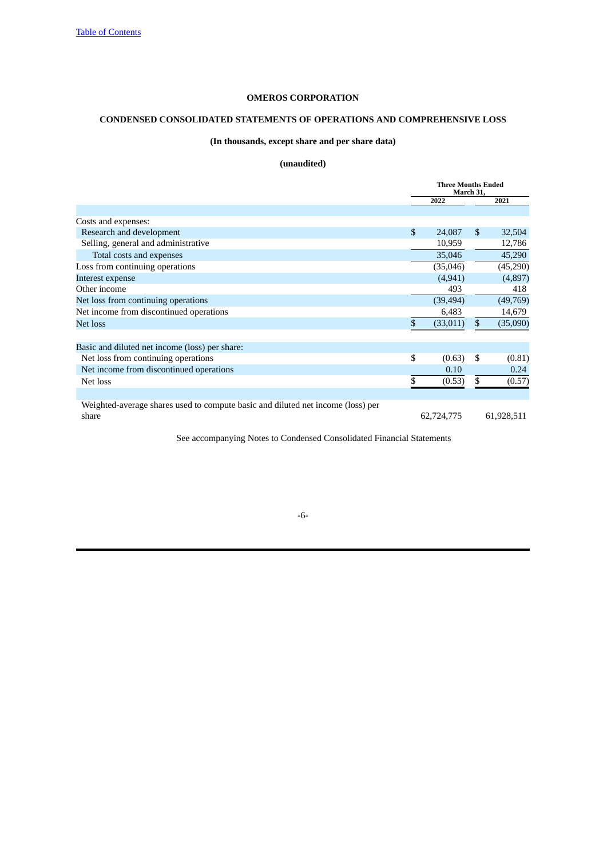### **OMEROS CORPORATION**

### <span id="page-5-0"></span>**CONDENSED CONSOLIDATED STATEMENTS OF OPERATIONS AND COMPREHENSIVE LOSS**

### **(In thousands, except share and per share data)**

### **(unaudited)**

|                                                                                          | <b>Three Months Ended</b><br>March 31, |            |    |            |
|------------------------------------------------------------------------------------------|----------------------------------------|------------|----|------------|
|                                                                                          |                                        | 2022       |    | 2021       |
|                                                                                          |                                        |            |    |            |
| Costs and expenses:                                                                      |                                        |            |    |            |
| Research and development                                                                 | \$                                     | 24,087     | \$ | 32,504     |
| Selling, general and administrative                                                      |                                        | 10,959     |    | 12,786     |
| Total costs and expenses                                                                 |                                        | 35,046     |    | 45,290     |
| Loss from continuing operations                                                          |                                        | (35,046)   |    | (45, 290)  |
| Interest expense                                                                         |                                        | (4, 941)   |    | (4,897)    |
| Other income                                                                             |                                        | 493        |    | 418        |
| Net loss from continuing operations                                                      |                                        | (39, 494)  |    | (49,769)   |
| Net income from discontinued operations                                                  |                                        | 6,483      |    | 14,679     |
| Net loss                                                                                 | \$                                     | (33,011)   | \$ | (35,090)   |
|                                                                                          |                                        |            |    |            |
| Basic and diluted net income (loss) per share:                                           |                                        |            |    |            |
| Net loss from continuing operations                                                      | \$                                     | (0.63)     | \$ | (0.81)     |
| Net income from discontinued operations                                                  |                                        | 0.10       |    | 0.24       |
| Net loss                                                                                 | \$                                     | (0.53)     | \$ | (0.57)     |
|                                                                                          |                                        |            |    |            |
| Weighted-average shares used to compute basic and diluted net income (loss) per<br>share |                                        | 62,724,775 |    | 61,928,511 |
|                                                                                          |                                        |            |    |            |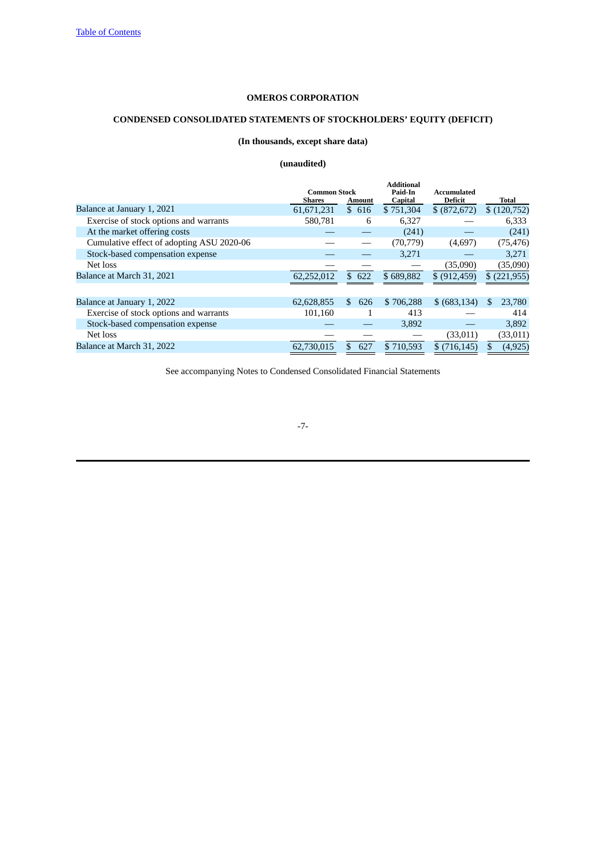### **OMEROS CORPORATION**

# <span id="page-6-0"></span>**CONDENSED CONSOLIDATED STATEMENTS OF STOCKHOLDERS' EQUITY (DEFICIT)**

### **(In thousands, except share data)**

### **(unaudited)**

|                                           |                                      |            | <b>Additional</b>  |                               |                 |
|-------------------------------------------|--------------------------------------|------------|--------------------|-------------------------------|-----------------|
|                                           | <b>Common Stock</b><br><b>Shares</b> | Amount     | Paid-In<br>Capital | Accumulated<br><b>Deficit</b> | Total           |
| Balance at January 1, 2021                | 61,671,231                           | \$616      | \$751,304          | \$ (872, 672)                 | \$(120,752)     |
| Exercise of stock options and warrants    | 580,781                              | 6          | 6,327              |                               | 6,333           |
| At the market offering costs              |                                      |            | (241)              |                               | (241)           |
| Cumulative effect of adopting ASU 2020-06 |                                      |            | (70, 779)          | (4,697)                       | (75, 476)       |
| Stock-based compensation expense          |                                      |            | 3,271              |                               | 3,271           |
| Net loss                                  |                                      |            |                    | (35,090)                      | (35,090)        |
| Balance at March 31, 2021                 | 62.252.012                           | \$622      | \$689,882          | \$ (912, 459)                 | $$$ (221,955)   |
|                                           |                                      |            |                    |                               |                 |
| Balance at January 1, 2022                | 62,628,855                           | 626<br>SS. | \$706,288          | \$ (683, 134)                 | 23,780<br>\$    |
| Exercise of stock options and warrants    | 101,160                              |            | 413                |                               | 414             |
| Stock-based compensation expense          |                                      |            | 3,892              |                               | 3,892           |
| Net loss                                  |                                      |            |                    | (33,011)                      | (33, 011)       |
| Balance at March 31, 2022                 | 62,730,015                           | 627<br>\$. | \$710.593          | \$(716, 145)                  | (4, 925)<br>\$. |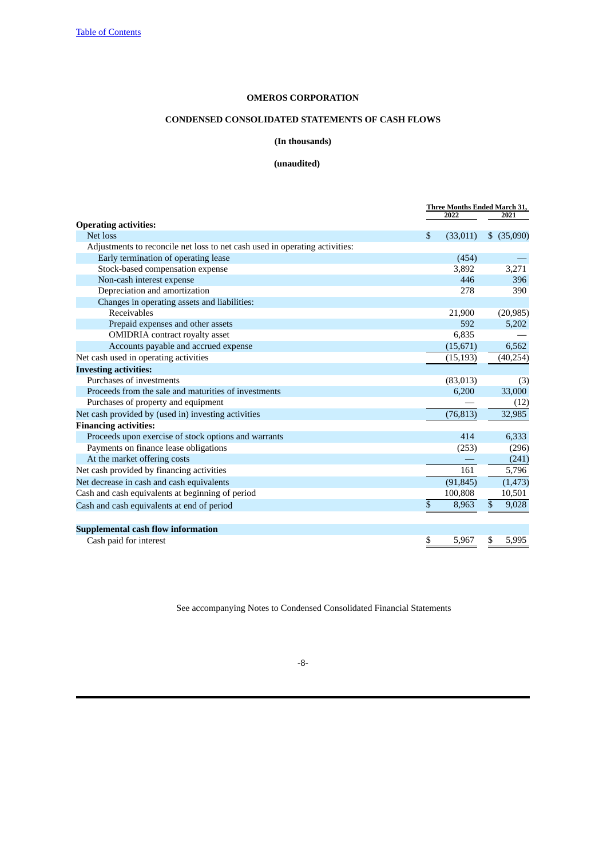### **OMEROS CORPORATION**

### **CONDENSED CONSOLIDATED STATEMENTS OF CASH FLOWS**

### **(In thousands)**

### **(unaudited)**

<span id="page-7-0"></span>

|                                                                             | Three Months Ended March 31, |           |      |              |
|-----------------------------------------------------------------------------|------------------------------|-----------|------|--------------|
|                                                                             |                              | 2022      |      | 2021         |
| <b>Operating activities:</b>                                                |                              |           |      |              |
| Net loss                                                                    | \$                           | (33,011)  |      | $$$ (35,090) |
| Adjustments to reconcile net loss to net cash used in operating activities: |                              |           |      |              |
| Early termination of operating lease                                        |                              | (454)     |      |              |
| Stock-based compensation expense                                            |                              | 3,892     |      | 3,271        |
| Non-cash interest expense                                                   |                              | 446       |      | 396          |
| Depreciation and amortization                                               |                              | 278       |      | 390          |
| Changes in operating assets and liabilities:                                |                              |           |      |              |
| Receivables                                                                 |                              | 21,900    |      | (20, 985)    |
| Prepaid expenses and other assets                                           |                              | 592       |      | 5,202        |
| <b>OMIDRIA</b> contract royalty asset                                       |                              | 6,835     |      |              |
| Accounts payable and accrued expense                                        |                              | (15, 671) |      | 6,562        |
| Net cash used in operating activities                                       |                              | (15, 193) |      | (40, 254)    |
| <b>Investing activities:</b>                                                |                              |           |      |              |
| Purchases of investments                                                    |                              | (83,013)  |      | (3)          |
| Proceeds from the sale and maturities of investments                        |                              | 6,200     |      | 33,000       |
| Purchases of property and equipment                                         |                              |           |      | (12)         |
| Net cash provided by (used in) investing activities                         |                              | (76, 813) |      | 32,985       |
| <b>Financing activities:</b>                                                |                              |           |      |              |
| Proceeds upon exercise of stock options and warrants                        |                              | 414       |      | 6,333        |
| Payments on finance lease obligations                                       |                              | (253)     |      | (296)        |
| At the market offering costs                                                |                              |           |      | (241)        |
| Net cash provided by financing activities                                   |                              | 161       |      | 5,796        |
| Net decrease in cash and cash equivalents                                   |                              | (91, 845) |      | (1, 473)     |
| Cash and cash equivalents at beginning of period                            |                              | 100,808   |      | 10,501       |
| Cash and cash equivalents at end of period                                  | \$                           | 8,963     | $\$$ | 9,028        |
| <b>Supplemental cash flow information</b>                                   |                              |           |      |              |
| Cash paid for interest                                                      | \$                           | 5,967     | \$   | 5,995        |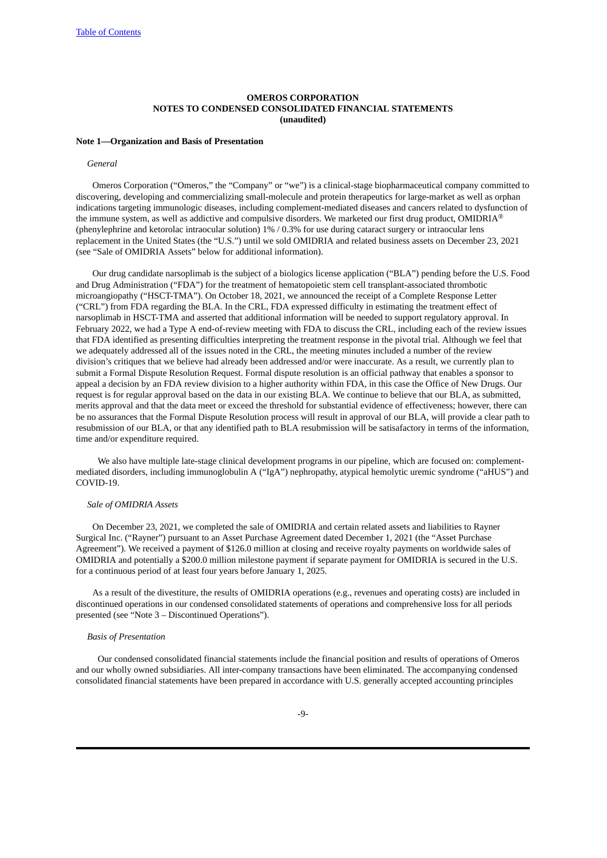#### **OMEROS CORPORATION NOTES TO CONDENSED CONSOLIDATED FINANCIAL STATEMENTS (unaudited)**

#### <span id="page-8-0"></span>**Note 1—Organization and Basis of Presentation**

#### *General*

Omeros Corporation ("Omeros," the "Company" or "we") is a clinical-stage biopharmaceutical company committed to discovering, developing and commercializing small-molecule and protein therapeutics for large-market as well as orphan indications targeting immunologic diseases, including complement-mediated diseases and cancers related to dysfunction of the immune system, as well as addictive and compulsive disorders. We marketed our first drug product, OMIDRIA® (phenylephrine and ketorolac intraocular solution) 1% / 0.3% for use during cataract surgery or intraocular lens replacement in the United States (the "U.S.") until we sold OMIDRIA and related business assets on December 23, 2021 (see "Sale of OMIDRIA Assets" below for additional information).

Our drug candidate narsoplimab is the subject of a biologics license application ("BLA") pending before the U.S. Food and Drug Administration ("FDA") for the treatment of hematopoietic stem cell transplant-associated thrombotic microangiopathy ("HSCT-TMA"). On October 18, 2021, we announced the receipt of a Complete Response Letter ("CRL") from FDA regarding the BLA. In the CRL, FDA expressed difficulty in estimating the treatment effect of narsoplimab in HSCT-TMA and asserted that additional information will be needed to support regulatory approval. In February 2022, we had a Type A end-of-review meeting with FDA to discuss the CRL, including each of the review issues that FDA identified as presenting difficulties interpreting the treatment response in the pivotal trial. Although we feel that we adequately addressed all of the issues noted in the CRL, the meeting minutes included a number of the review division's critiques that we believe had already been addressed and/or were inaccurate. As a result, we currently plan to submit a Formal Dispute Resolution Request. Formal dispute resolution is an official pathway that enables a sponsor to appeal a decision by an FDA review division to a higher authority within FDA, in this case the Office of New Drugs. Our request is for regular approval based on the data in our existing BLA. We continue to believe that our BLA, as submitted, merits approval and that the data meet or exceed the threshold for substantial evidence of effectiveness; however, there can be no assurances that the Formal Dispute Resolution process will result in approval of our BLA, will provide a clear path to resubmission of our BLA, or that any identified path to BLA resubmission will be satisafactory in terms of the information, time and/or expenditure required.

We also have multiple late-stage clinical development programs in our pipeline, which are focused on: complementmediated disorders, including immunoglobulin A ("IgA") nephropathy, atypical hemolytic uremic syndrome ("aHUS") and COVID-19.

#### *Sale of OMIDRIA Assets*

On December 23, 2021, we completed the sale of OMIDRIA and certain related assets and liabilities to Rayner Surgical Inc. ("Rayner") pursuant to an Asset Purchase Agreement dated December 1, 2021 (the "Asset Purchase Agreement"). We received a payment of \$126.0 million at closing and receive royalty payments on worldwide sales of OMIDRIA and potentially a \$200.0 million milestone payment if separate payment for OMIDRIA is secured in the U.S. for a continuous period of at least four years before January 1, 2025.

As a result of the divestiture, the results of OMIDRIA operations (e.g., revenues and operating costs) are included in discontinued operations in our condensed consolidated statements of operations and comprehensive loss for all periods presented (see "Note 3 – Discontinued Operations").

#### *Basis of Presentation*

Our condensed consolidated financial statements include the financial position and results of operations of Omeros and our wholly owned subsidiaries. All inter-company transactions have been eliminated. The accompanying condensed consolidated financial statements have been prepared in accordance with U.S. generally accepted accounting principles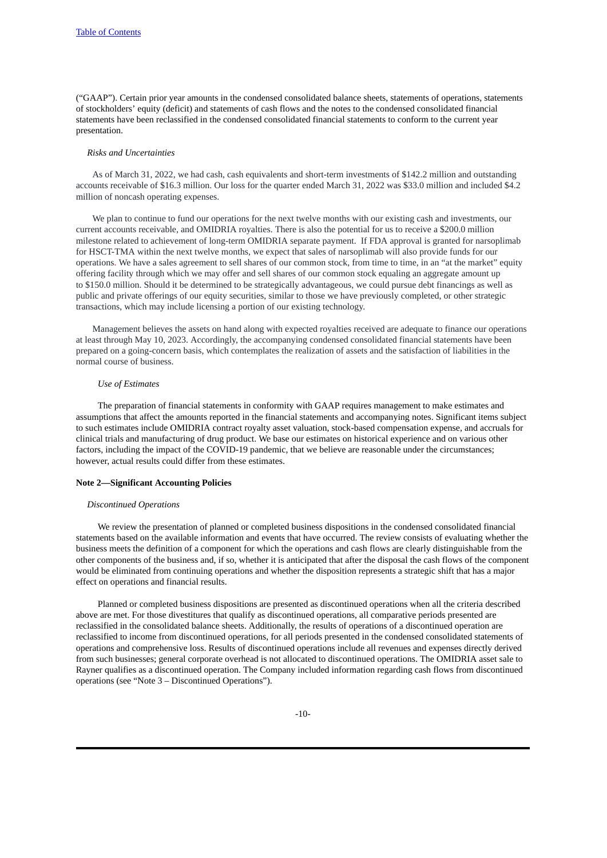("GAAP"). Certain prior year amounts in the condensed consolidated balance sheets, statements of operations, statements of stockholders' equity (deficit) and statements of cash flows and the notes to the condensed consolidated financial statements have been reclassified in the condensed consolidated financial statements to conform to the current year presentation.

#### *Risks and Uncertainties*

As of March 31, 2022, we had cash, cash equivalents and short-term investments of \$142.2 million and outstanding accounts receivable of \$16.3 million. Our loss for the quarter ended March 31, 2022 was \$33.0 million and included \$4.2 million of noncash operating expenses.

We plan to continue to fund our operations for the next twelve months with our existing cash and investments, our current accounts receivable, and OMIDRIA royalties. There is also the potential for us to receive a \$200.0 million milestone related to achievement of long-term OMIDRIA separate payment. If FDA approval is granted for narsoplimab for HSCT-TMA within the next twelve months, we expect that sales of narsoplimab will also provide funds for our operations. We have a sales agreement to sell shares of our common stock, from time to time, in an "at the market" equity offering facility through which we may offer and sell shares of our common stock equaling an aggregate amount up to \$150.0 million. Should it be determined to be strategically advantageous, we could pursue debt financings as well as public and private offerings of our equity securities, similar to those we have previously completed, or other strategic transactions, which may include licensing a portion of our existing technology.

Management believes the assets on hand along with expected royalties received are adequate to finance our operations at least through May 10, 2023. Accordingly, the accompanying condensed consolidated financial statements have been prepared on a going-concern basis, which contemplates the realization of assets and the satisfaction of liabilities in the normal course of business.

#### *Use of Estimates*

The preparation of financial statements in conformity with GAAP requires management to make estimates and assumptions that affect the amounts reported in the financial statements and accompanying notes. Significant items subject to such estimates include OMIDRIA contract royalty asset valuation, stock-based compensation expense, and accruals for clinical trials and manufacturing of drug product. We base our estimates on historical experience and on various other factors, including the impact of the COVID-19 pandemic, that we believe are reasonable under the circumstances; however, actual results could differ from these estimates.

#### **Note 2—Significant Accounting Policies**

#### *Discontinued Operations*

We review the presentation of planned or completed business dispositions in the condensed consolidated financial statements based on the available information and events that have occurred. The review consists of evaluating whether the business meets the definition of a component for which the operations and cash flows are clearly distinguishable from the other components of the business and, if so, whether it is anticipated that after the disposal the cash flows of the component would be eliminated from continuing operations and whether the disposition represents a strategic shift that has a major effect on operations and financial results.

Planned or completed business dispositions are presented as discontinued operations when all the criteria described above are met. For those divestitures that qualify as discontinued operations, all comparative periods presented are reclassified in the consolidated balance sheets. Additionally, the results of operations of a discontinued operation are reclassified to income from discontinued operations, for all periods presented in the condensed consolidated statements of operations and comprehensive loss. Results of discontinued operations include all revenues and expenses directly derived from such businesses; general corporate overhead is not allocated to discontinued operations. The OMIDRIA asset sale to Rayner qualifies as a discontinued operation. The Company included information regarding cash flows from discontinued operations (see "Note 3 – Discontinued Operations").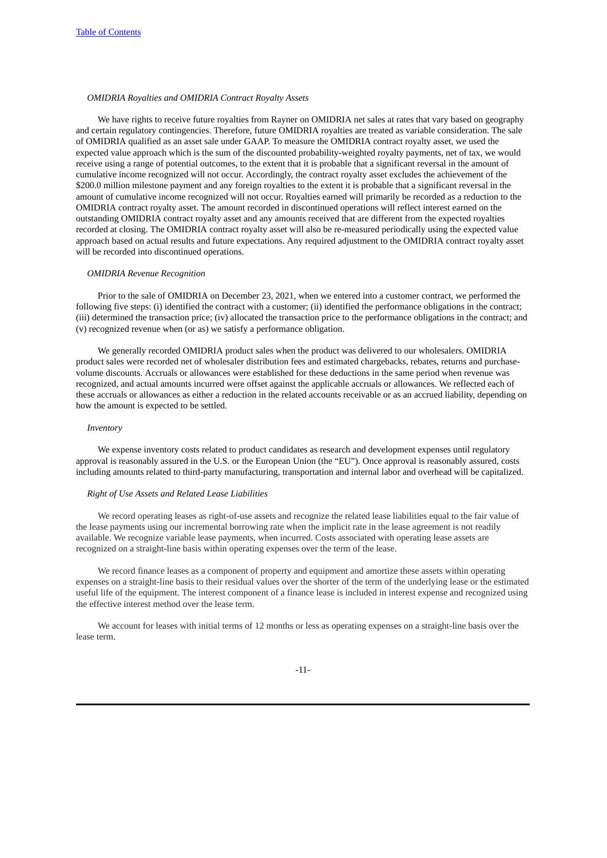#### *OMIDRIA Royalties and OMIDRIA Contract Royalty Assets*

We have rights to receive future royalties from Rayner on OMIDRIA net sales at rates that vary based on geography and certain regulatory contingencies. Therefore, future OMIDRIA royalties are treated as variable consideration. The sale of OMIDRIA qualified as an asset sale under GAAP. To measure the OMIDRIA contract royalty asset, we used the expected value approach which is the sum of the discounted probability-weighted royalty payments, net of tax, we would receive using a range of potential outcomes, to the extent that it is probable that a significant reversal in the amount of cumulative income recognized will not occur. Accordingly, the contract royalty asset excludes the achievement of the \$200.0 million milestone payment and any foreign royalties to the extent it is probable that a significant reversal in the amount of cumulative income recognized will not occur. Royalties earned will primarily be recorded as a reduction to the OMIDRIA contract royalty asset. The amount recorded in discontinued operations will reflect interest earned on the outstanding OMIDRIA contract royalty asset and any amounts received that are different from the expected royalties recorded at closing. The OMIDRIA contract royalty asset will also be re-measured periodically using the expected value approach based on actual results and future expectations. Any required adjustment to the OMIDRIA contract royalty asset will be recorded into discontinued operations.

#### *OMIDRIA Revenue Recognition*

Prior to the sale of OMIDRIA on December 23, 2021, when we entered into a customer contract, we performed the following five steps: (i) identified the contract with a customer; (ii) identified the performance obligations in the contract; (iii) determined the transaction price; (iv) allocated the transaction price to the performance obligations in the contract; and (v) recognized revenue when (or as) we satisfy a performance obligation.

We generally recorded OMIDRIA product sales when the product was delivered to our wholesalers. OMIDRIA product sales were recorded net of wholesaler distribution fees and estimated chargebacks, rebates, returns and purchasevolume discounts. Accruals or allowances were established for these deductions in the same period when revenue was recognized, and actual amounts incurred were offset against the applicable accruals or allowances. We reflected each of these accruals or allowances as either a reduction in the related accounts receivable or as an accrued liability, depending on how the amount is expected to be settled.

#### *Inventory*

We expense inventory costs related to product candidates as research and development expenses until regulatory approval is reasonably assured in the U.S. or the European Union (the "EU"). Once approval is reasonably assured, costs including amounts related to third-party manufacturing, transportation and internal labor and overhead will be capitalized.

#### *Right of Use Assets and Related Lease Liabilities*

We record operating leases as right-of-use assets and recognize the related lease liabilities equal to the fair value of the lease payments using our incremental borrowing rate when the implicit rate in the lease agreement is not readily available. We recognize variable lease payments, when incurred. Costs associated with operating lease assets are recognized on a straight-line basis within operating expenses over the term of the lease.

We record finance leases as a component of property and equipment and amortize these assets within operating expenses on a straight-line basis to their residual values over the shorter of the term of the underlying lease or the estimated useful life of the equipment. The interest component of a finance lease is included in interest expense and recognized using the effective interest method over the lease term.

We account for leases with initial terms of 12 months or less as operating expenses on a straight-line basis over the lease term.

-11-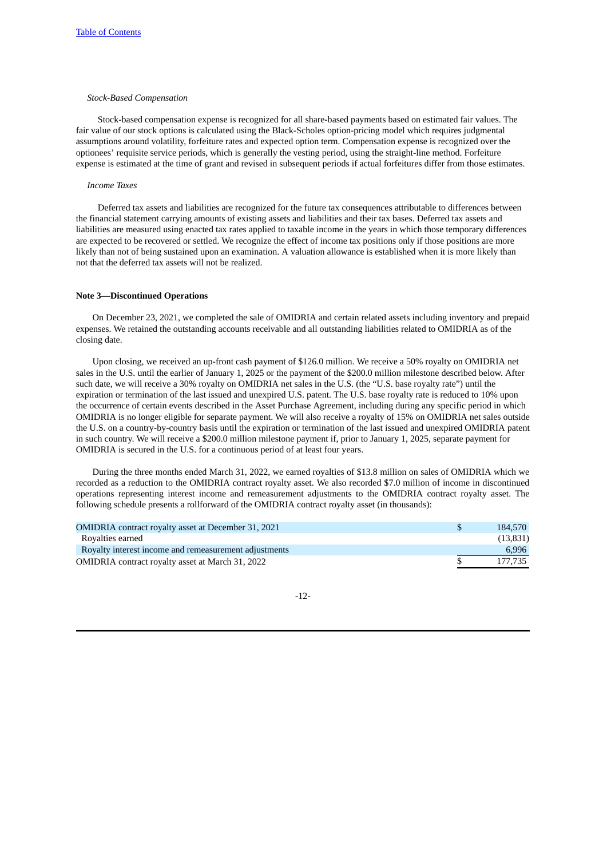#### *Stock-Based Compensation*

Stock-based compensation expense is recognized for all share-based payments based on estimated fair values. The fair value of our stock options is calculated using the Black-Scholes option-pricing model which requires judgmental assumptions around volatility, forfeiture rates and expected option term. Compensation expense is recognized over the optionees' requisite service periods, which is generally the vesting period, using the straight-line method. Forfeiture expense is estimated at the time of grant and revised in subsequent periods if actual forfeitures differ from those estimates.

#### *Income Taxes*

Deferred tax assets and liabilities are recognized for the future tax consequences attributable to differences between the financial statement carrying amounts of existing assets and liabilities and their tax bases. Deferred tax assets and liabilities are measured using enacted tax rates applied to taxable income in the years in which those temporary differences are expected to be recovered or settled. We recognize the effect of income tax positions only if those positions are more likely than not of being sustained upon an examination. A valuation allowance is established when it is more likely than not that the deferred tax assets will not be realized.

#### **Note 3—Discontinued Operations**

On December 23, 2021, we completed the sale of OMIDRIA and certain related assets including inventory and prepaid expenses. We retained the outstanding accounts receivable and all outstanding liabilities related to OMIDRIA as of the closing date.

Upon closing, we received an up-front cash payment of \$126.0 million. We receive a 50% royalty on OMIDRIA net sales in the U.S. until the earlier of January 1, 2025 or the payment of the \$200.0 million milestone described below. After such date, we will receive a 30% royalty on OMIDRIA net sales in the U.S. (the "U.S. base royalty rate") until the expiration or termination of the last issued and unexpired U.S. patent. The U.S. base royalty rate is reduced to 10% upon the occurrence of certain events described in the Asset Purchase Agreement, including during any specific period in which OMIDRIA is no longer eligible for separate payment. We will also receive a royalty of 15% on OMIDRIA net sales outside the U.S. on a country-by-country basis until the expiration or termination of the last issued and unexpired OMIDRIA patent in such country. We will receive a \$200.0 million milestone payment if, prior to January 1, 2025, separate payment for OMIDRIA is secured in the U.S. for a continuous period of at least four years.

During the three months ended March 31, 2022, we earned royalties of \$13.8 million on sales of OMIDRIA which we recorded as a reduction to the OMIDRIA contract royalty asset. We also recorded \$7.0 million of income in discontinued operations representing interest income and remeasurement adjustments to the OMIDRIA contract royalty asset. The following schedule presents a rollforward of the OMIDRIA contract royalty asset (in thousands):

| <b>OMIDRIA</b> contract royalty asset at December 31, 2021 | 184,570   |
|------------------------------------------------------------|-----------|
| Rovalties earned                                           | (13, 831) |
| Rovalty interest income and remeasurement adjustments      | 6,996     |
| OMIDRIA contract royalty asset at March 31, 2022           | 177.735   |

#### -12-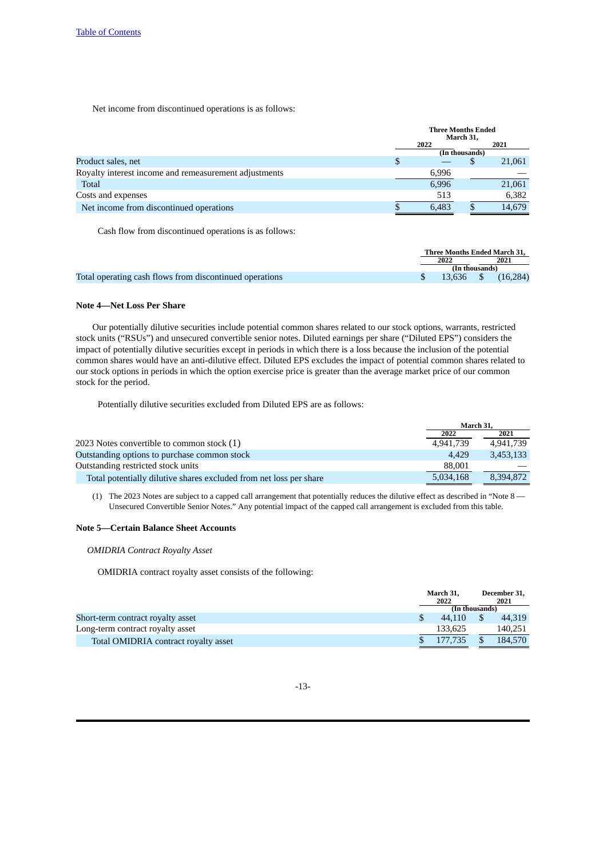Net income from discontinued operations is as follows:

| <b>Three Months Ended</b><br>March 31, |   |                |  |  |
|----------------------------------------|---|----------------|--|--|
| 2022                                   |   | 2021           |  |  |
|                                        |   |                |  |  |
|                                        | Φ | 21,061         |  |  |
| 6,996                                  |   |                |  |  |
| 6,996                                  |   | 21,061         |  |  |
| 513                                    |   | 6,382          |  |  |
| 6.483                                  |   | 14,679         |  |  |
|                                        |   | (In thousands) |  |  |

Cash flow from discontinued operations is as follows:

|                                                         | <b>Three Months Ended March 31.</b> |                |          |  |
|---------------------------------------------------------|-------------------------------------|----------------|----------|--|
|                                                         | 2022                                |                | 2021     |  |
|                                                         |                                     | (In thousands) |          |  |
| Total operating cash flows from discontinued operations |                                     | $13,636$ \$    | (16.284) |  |

#### **Note 4—Net Loss Per Share**

Our potentially dilutive securities include potential common shares related to our stock options, warrants, restricted stock units ("RSUs") and unsecured convertible senior notes. Diluted earnings per share ("Diluted EPS") considers the impact of potentially dilutive securities except in periods in which there is a loss because the inclusion of the potential common shares would have an anti-dilutive effect. Diluted EPS excludes the impact of potential common shares related to our stock options in periods in which the option exercise price is greater than the average market price of our common stock for the period.

Potentially dilutive securities excluded from Diluted EPS are as follows:

|                                                                    | March 31. |           |  |
|--------------------------------------------------------------------|-----------|-----------|--|
|                                                                    | 2022      | 2021      |  |
| 2023 Notes convertible to common stock (1)                         | 4.941.739 | 4.941.739 |  |
| Outstanding options to purchase common stock                       | 4.429     | 3,453,133 |  |
| Outstanding restricted stock units                                 | 88,001    |           |  |
| Total potentially dilutive shares excluded from net loss per share | 5,034,168 | 8.394.872 |  |

(1) The 2023 Notes are subject to a capped call arrangement that potentially reduces the dilutive effect as described in "Note 8 — Unsecured Convertible Senior Notes." Any potential impact of the capped call arrangement is excluded from this table.

#### **Note 5—Certain Balance Sheet Accounts**

*OMIDRIA Contract Royalty Asset*

OMIDRIA contract royalty asset consists of the following:

|                                      | March 31,<br>2022 |  | December 31,<br>2021 |
|--------------------------------------|-------------------|--|----------------------|
|                                      | (In thousands)    |  |                      |
| Short-term contract royalty asset    | 44.110            |  | 44.319               |
| Long-term contract royalty asset     | 133.625           |  | 140.251              |
| Total OMIDRIA contract royalty asset | 177,735           |  | 184,570              |
|                                      |                   |  |                      |

#### -13-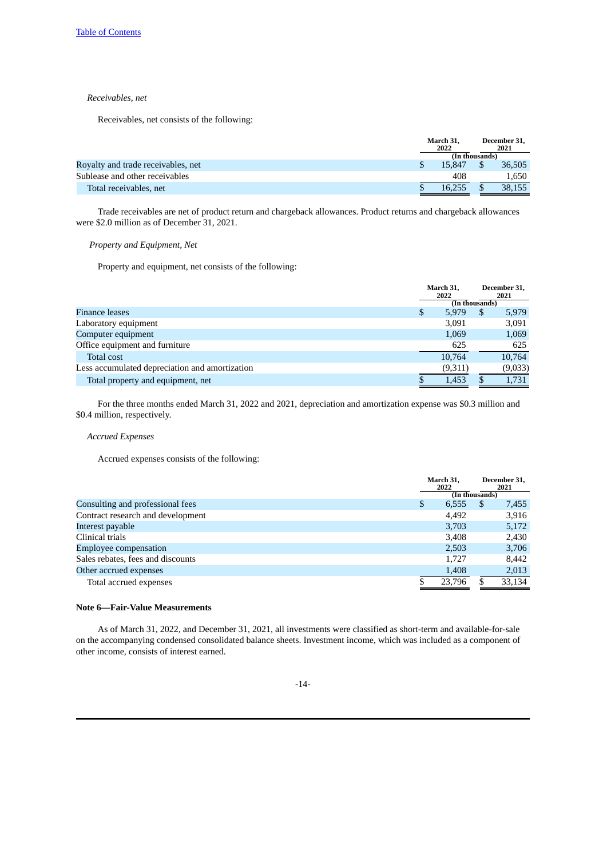### *Receivables, net*

Receivables, net consists of the following:

|                                    | March 31,<br>2022 | December 31,<br>2021 |        |  |
|------------------------------------|-------------------|----------------------|--------|--|
|                                    | (In thousands)    |                      |        |  |
| Rovalty and trade receivables, net | 15.847            |                      | 36,505 |  |
| Sublease and other receivables     | 408               |                      | 1.650  |  |
| Total receivables, net             | 16.255            |                      | 38.155 |  |

Trade receivables are net of product return and chargeback allowances. Product returns and chargeback allowances were \$2.0 million as of December 31, 2021.

#### *Property and Equipment, Net*

Property and equipment, net consists of the following:

|                                                |   | March 31.<br>2022 |                | December 31.<br>2021 |
|------------------------------------------------|---|-------------------|----------------|----------------------|
|                                                |   |                   | (In thousands) |                      |
| <b>Finance leases</b>                          | S | 5,979             | S              | 5,979                |
| Laboratory equipment                           |   | 3.091             |                | 3,091                |
| Computer equipment                             |   | 1,069             |                | 1,069                |
| Office equipment and furniture                 |   | 625               |                | 625                  |
| <b>Total cost</b>                              |   | 10.764            |                | 10,764               |
| Less accumulated depreciation and amortization |   | (9,311)           |                | (9,033)              |
| Total property and equipment, net              |   | 1,453             |                | 1,731                |

For the three months ended March 31, 2022 and 2021, depreciation and amortization expense was \$0.3 million and \$0.4 million, respectively.

#### *Accrued Expenses*

Accrued expenses consists of the following:

|                                   | March 31,<br>2022 |                | December 31,<br>2021 |
|-----------------------------------|-------------------|----------------|----------------------|
|                                   |                   | (In thousands) |                      |
| Consulting and professional fees  | \$<br>6,555       | \$.            | 7,455                |
| Contract research and development | 4.492             |                | 3,916                |
| Interest payable                  | 3,703             |                | 5,172                |
| Clinical trials                   | 3,408             |                | 2,430                |
| <b>Employee compensation</b>      | 2,503             |                | 3,706                |
| Sales rebates, fees and discounts | 1.727             |                | 8.442                |
| Other accrued expenses            | 1,408             |                | 2,013                |
| Total accrued expenses            | 23.796            |                | 33,134               |

#### **Note 6—Fair-Value Measurements**

As of March 31, 2022, and December 31, 2021, all investments were classified as short-term and available-for-sale on the accompanying condensed consolidated balance sheets. Investment income, which was included as a component of other income, consists of interest earned.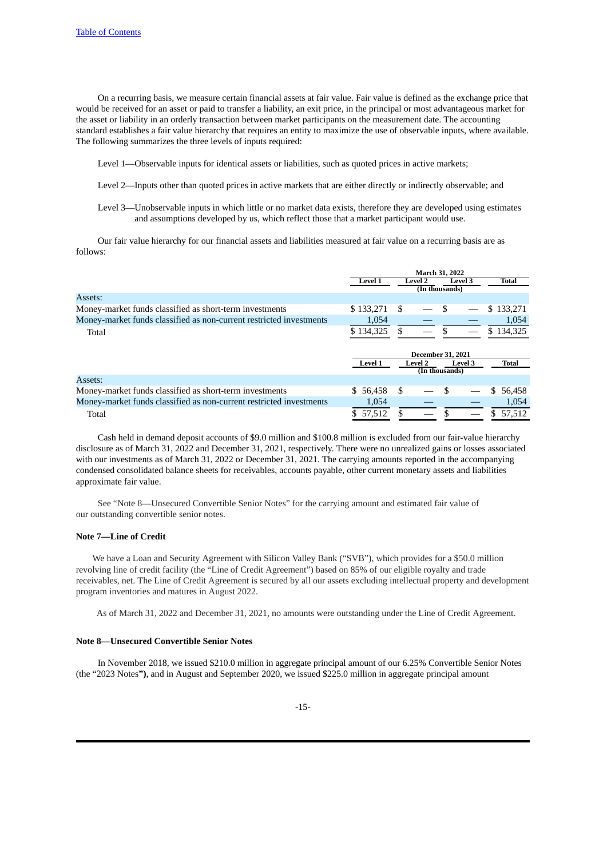On a recurring basis, we measure certain financial assets at fair value. Fair value is defined as the exchange price that would be received for an asset or paid to transfer a liability, an exit price, in the principal or most advantageous market for the asset or liability in an orderly transaction between market participants on the measurement date. The accounting standard establishes a fair value hierarchy that requires an entity to maximize the use of observable inputs, where available. The following summarizes the three levels of inputs required:

Level 1—Observable inputs for identical assets or liabilities, such as quoted prices in active markets;

- Level 2—Inputs other than quoted prices in active markets that are either directly or indirectly observable; and
- Level 3—Unobservable inputs in which little or no market data exists, therefore they are developed using estimates and assumptions developed by us, which reflect those that a market participant would use.

Our fair value hierarchy for our financial assets and liabilities measured at fair value on a recurring basis are as follows:

|                                                                     | <b>March 31, 2022</b> |                |                          |  |                |     |           |  |              |
|---------------------------------------------------------------------|-----------------------|----------------|--------------------------|--|----------------|-----|-----------|--|--------------|
|                                                                     | <b>Level 1</b>        | <b>Level 2</b> |                          |  |                |     | Level 3   |  | <b>Total</b> |
|                                                                     |                       |                | (In thousands)           |  |                |     |           |  |              |
| Assets:                                                             |                       |                |                          |  |                |     |           |  |              |
| Money-market funds classified as short-term investments             | \$133,271             | -S             |                          |  |                |     | \$133.271 |  |              |
| Money-market funds classified as non-current restricted investments | 1,054                 |                |                          |  |                |     | 1,054     |  |              |
| Total                                                               | \$134,325             | £.             |                          |  |                |     | \$134,325 |  |              |
|                                                                     |                       |                |                          |  |                |     |           |  |              |
|                                                                     |                       |                | <b>December 31, 2021</b> |  |                |     |           |  |              |
|                                                                     | <b>Level 1</b>        |                | Level 2                  |  | <b>Level 3</b> |     | Total     |  |              |
|                                                                     |                       |                | (In thousands)           |  |                |     |           |  |              |
| Assets:                                                             |                       |                |                          |  |                |     |           |  |              |
| Money-market funds classified as short-term investments             |                       | \$             |                          |  |                | \$. | 56,458    |  |              |
|                                                                     | \$56,458              |                |                          |  |                |     |           |  |              |
| Money-market funds classified as non-current restricted investments | 1.054                 |                |                          |  |                |     | 1.054     |  |              |

Cash held in demand deposit accounts of \$9.0 million and \$100.8 million is excluded from our fair-value hierarchy disclosure as of March 31, 2022 and December 31, 2021, respectively. There were no unrealized gains or losses associated with our investments as of March 31, 2022 or December 31, 2021. The carrying amounts reported in the accompanying condensed consolidated balance sheets for receivables, accounts payable, other current monetary assets and liabilities approximate fair value.

See "Note 8—Unsecured Convertible Senior Notes" for the carrying amount and estimated fair value of our outstanding convertible senior notes.

#### **Note 7—Line of Credit**

We have a Loan and Security Agreement with Silicon Valley Bank ("SVB"), which provides for a \$50.0 million revolving line of credit facility (the "Line of Credit Agreement") based on 85% of our eligible royalty and trade receivables, net. The Line of Credit Agreement is secured by all our assets excluding intellectual property and development program inventories and matures in August 2022.

As of March 31, 2022 and December 31, 2021, no amounts were outstanding under the Line of Credit Agreement.

### **Note 8—Unsecured Convertible Senior Notes**

In November 2018, we issued \$210.0 million in aggregate principal amount of our 6.25% Convertible Senior Notes (the "2023 Notes**")**, and in August and September 2020, we issued \$225.0 million in aggregate principal amount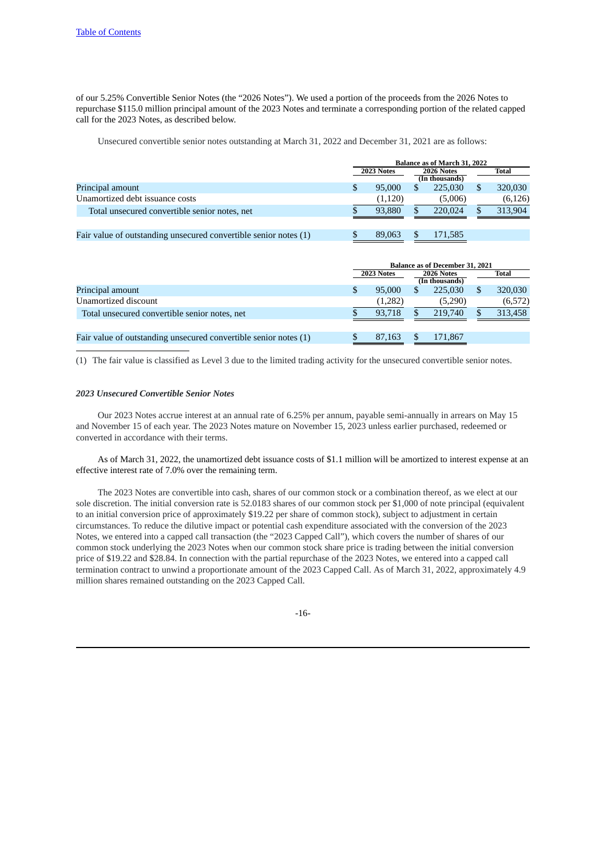of our 5.25% Convertible Senior Notes (the "2026 Notes"). We used a portion of the proceeds from the 2026 Notes to repurchase \$115.0 million principal amount of the 2023 Notes and terminate a corresponding portion of the related capped call for the 2023 Notes, as described below.

Unsecured convertible senior notes outstanding at March 31, 2022 and December 31, 2021 are as follows:

|                                                                  | <b>Balance as of March 31, 2022</b> |   |                              |     |          |  |  |  |
|------------------------------------------------------------------|-------------------------------------|---|------------------------------|-----|----------|--|--|--|
|                                                                  | 2023 Notes                          |   | 2026 Notes<br>(In thousands) |     | Total    |  |  |  |
| Principal amount                                                 | 95,000                              |   | 225,030                      | \$. | 320,030  |  |  |  |
| Unamortized debt issuance costs                                  | (1, 120)                            |   | (5,006)                      |     | (6, 126) |  |  |  |
| Total unsecured convertible senior notes, net                    | 93,880                              | S | 220,024                      | S   | 313,904  |  |  |  |
|                                                                  |                                     |   |                              |     |          |  |  |  |
| Fair value of outstanding unsecured convertible senior notes (1) | 89,063                              |   | 171.585                      |     |          |  |  |  |

|                                                                  | <b>Balance as of December 31, 2021</b> |         |                                            |         |    |         |  |  |
|------------------------------------------------------------------|----------------------------------------|---------|--------------------------------------------|---------|----|---------|--|--|
|                                                                  |                                        |         | 2023 Notes<br>2026 Notes<br>(In thousands) |         |    | Total   |  |  |
| Principal amount                                                 | S.                                     | 95,000  | \$                                         | 225,030 | \$ | 320,030 |  |  |
| Unamortized discount                                             |                                        | (1,282) |                                            | (5,290) |    | (6,572) |  |  |
| Total unsecured convertible senior notes, net                    |                                        | 93.718  |                                            | 219,740 | S  | 313,458 |  |  |
| Fair value of outstanding unsecured convertible senior notes (1) |                                        | 87.163  |                                            | 171,867 |    |         |  |  |

(1) The fair value is classified as Level 3 due to the limited trading activity for the unsecured convertible senior notes.

#### *2023 Unsecured Convertible Senior Notes*

Our 2023 Notes accrue interest at an annual rate of 6.25% per annum, payable semi-annually in arrears on May 15 and November 15 of each year. The 2023 Notes mature on November 15, 2023 unless earlier purchased, redeemed or converted in accordance with their terms.

As of March 31, 2022, the unamortized debt issuance costs of \$1.1 million will be amortized to interest expense at an effective interest rate of 7.0% over the remaining term.

The 2023 Notes are convertible into cash, shares of our common stock or a combination thereof, as we elect at our sole discretion. The initial conversion rate is 52.0183 shares of our common stock per \$1,000 of note principal (equivalent to an initial conversion price of approximately \$19.22 per share of common stock), subject to adjustment in certain circumstances. To reduce the dilutive impact or potential cash expenditure associated with the conversion of the 2023 Notes, we entered into a capped call transaction (the "2023 Capped Call"), which covers the number of shares of our common stock underlying the 2023 Notes when our common stock share price is trading between the initial conversion price of \$19.22 and \$28.84. In connection with the partial repurchase of the 2023 Notes, we entered into a capped call termination contract to unwind a proportionate amount of the 2023 Capped Call. As of March 31, 2022, approximately 4.9 million shares remained outstanding on the 2023 Capped Call.

-16-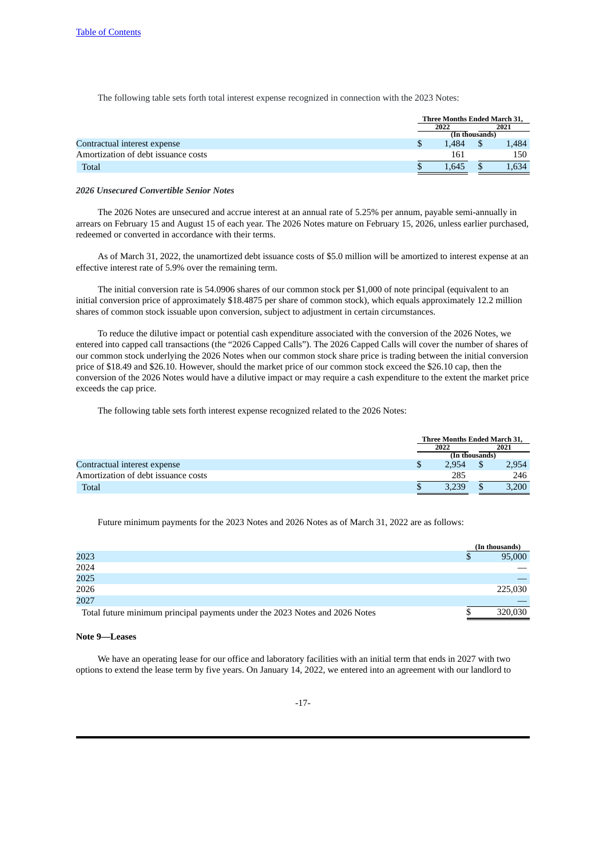The following table sets forth total interest expense recognized in connection with the 2023 Notes:

|                                     |   | Three Months Ended March 31, |      |       |  |  |
|-------------------------------------|---|------------------------------|------|-------|--|--|
|                                     |   | 2022                         | 2021 |       |  |  |
|                                     |   | (In thousands)               |      |       |  |  |
| Contractual interest expense        | S | 1.484                        |      | 1.484 |  |  |
| Amortization of debt issuance costs |   | 161                          |      | 150   |  |  |
| Total                               |   | 1.645                        |      | 1.634 |  |  |

#### *2026 Unsecured Convertible Senior Notes*

The 2026 Notes are unsecured and accrue interest at an annual rate of 5.25% per annum, payable semi-annually in arrears on February 15 and August 15 of each year. The 2026 Notes mature on February 15, 2026, unless earlier purchased, redeemed or converted in accordance with their terms.

As of March 31, 2022, the unamortized debt issuance costs of \$5.0 million will be amortized to interest expense at an effective interest rate of 5.9% over the remaining term.

The initial conversion rate is 54.0906 shares of our common stock per \$1,000 of note principal (equivalent to an initial conversion price of approximately \$18.4875 per share of common stock), which equals approximately 12.2 million shares of common stock issuable upon conversion, subject to adjustment in certain circumstances.

To reduce the dilutive impact or potential cash expenditure associated with the conversion of the 2026 Notes, we entered into capped call transactions (the "2026 Capped Calls"). The 2026 Capped Calls will cover the number of shares of our common stock underlying the 2026 Notes when our common stock share price is trading between the initial conversion price of \$18.49 and \$26.10. However, should the market price of our common stock exceed the \$26.10 cap, then the conversion of the 2026 Notes would have a dilutive impact or may require a cash expenditure to the extent the market price exceeds the cap price.

The following table sets forth interest expense recognized related to the 2026 Notes:

|                                     |   | <b>Three Months Ended March 31.</b> |  |       |  |  |
|-------------------------------------|---|-------------------------------------|--|-------|--|--|
|                                     |   | 2022                                |  | 2021  |  |  |
|                                     |   | (In thousands)                      |  |       |  |  |
| Contractual interest expense        | J | 2.954                               |  | 2.954 |  |  |
| Amortization of debt issuance costs |   | 285                                 |  | 246   |  |  |
| Total                               |   | 3.239                               |  | 3.200 |  |  |

Future minimum payments for the 2023 Notes and 2026 Notes as of March 31, 2022 are as follows:

|                                                                             |   | (In thousands) |
|-----------------------------------------------------------------------------|---|----------------|
| 2023                                                                        | S | 95,000         |
| 2024                                                                        |   |                |
| 2025                                                                        |   |                |
| 2026                                                                        |   | 225,030        |
| 2027                                                                        |   |                |
| Total future minimum principal payments under the 2023 Notes and 2026 Notes |   | 320,030        |

#### **Note 9—Leases**

We have an operating lease for our office and laboratory facilities with an initial term that ends in 2027 with two options to extend the lease term by five years. On January 14, 2022, we entered into an agreement with our landlord to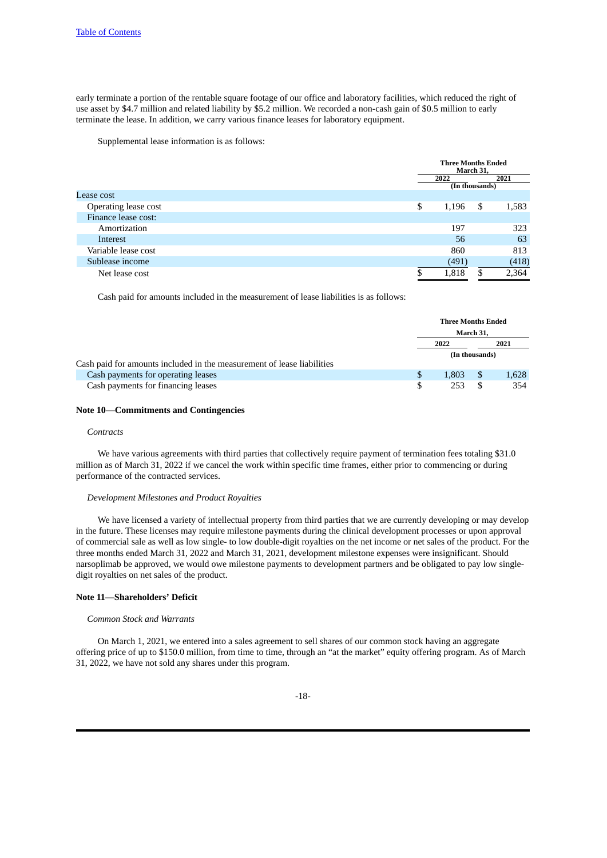early terminate a portion of the rentable square footage of our office and laboratory facilities, which reduced the right of use asset by \$4.7 million and related liability by \$5.2 million. We recorded a non-cash gain of \$0.5 million to early terminate the lease. In addition, we carry various finance leases for laboratory equipment.

Supplemental lease information is as follows:

|                      |    | <b>Three Months Ended</b><br>March 31. |    |       |  |
|----------------------|----|----------------------------------------|----|-------|--|
|                      |    | 2022                                   |    | 2021  |  |
|                      |    | (In thousands)                         |    |       |  |
| Lease cost           |    |                                        |    |       |  |
| Operating lease cost | \$ | 1,196                                  | \$ | 1,583 |  |
| Finance lease cost:  |    |                                        |    |       |  |
| Amortization         |    | 197                                    |    | 323   |  |
| Interest             |    | 56                                     |    | 63    |  |
| Variable lease cost  |    | 860                                    |    | 813   |  |
| Sublease income      |    | (491)                                  |    | (418) |  |
| Net lease cost       | c  | 1,818                                  | \$ | 2,364 |  |

Cash paid for amounts included in the measurement of lease liabilities is as follows:

|                                                                        |   | <b>Three Months Ended</b><br>March 31. |  |       |  |
|------------------------------------------------------------------------|---|----------------------------------------|--|-------|--|
|                                                                        |   | 2022                                   |  | 2021  |  |
| Cash paid for amounts included in the measurement of lease liabilities |   | (In thousands)                         |  |       |  |
| Cash payments for operating leases                                     | S | 1.803                                  |  | 1,628 |  |
| Cash payments for financing leases                                     | S | 253                                    |  | 354   |  |

#### **Note 10—Commitments and Contingencies**

#### *Contracts*

We have various agreements with third parties that collectively require payment of termination fees totaling \$31.0 million as of March 31, 2022 if we cancel the work within specific time frames, either prior to commencing or during performance of the contracted services.

#### *Development Milestones and Product Royalties*

We have licensed a variety of intellectual property from third parties that we are currently developing or may develop in the future. These licenses may require milestone payments during the clinical development processes or upon approval of commercial sale as well as low single- to low double-digit royalties on the net income or net sales of the product. For the three months ended March 31, 2022 and March 31, 2021, development milestone expenses were insignificant. Should narsoplimab be approved, we would owe milestone payments to development partners and be obligated to pay low singledigit royalties on net sales of the product.

#### **Note 11—Shareholders' Deficit**

#### *Common Stock and Warrants*

On March 1, 2021, we entered into a sales agreement to sell shares of our common stock having an aggregate offering price of up to \$150.0 million, from time to time, through an "at the market" equity offering program. As of March 31, 2022, we have not sold any shares under this program.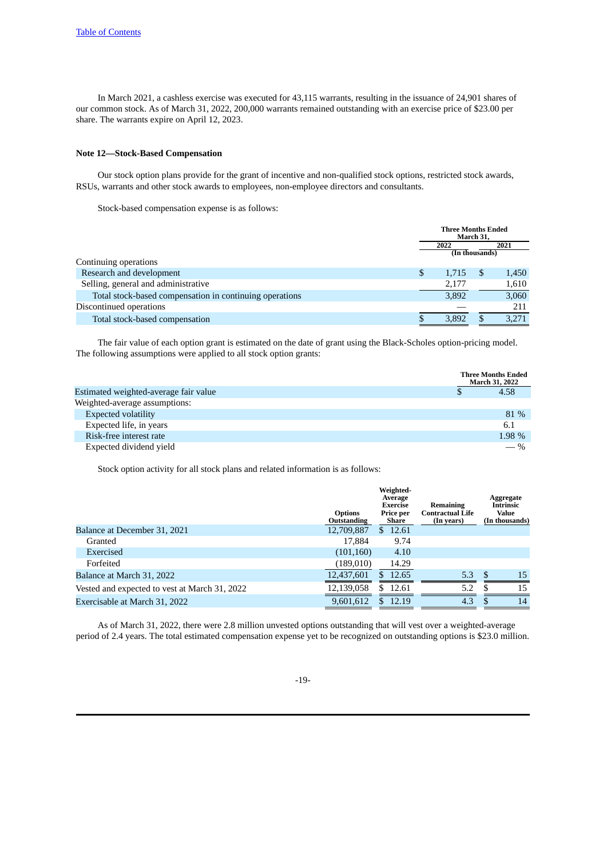In March 2021, a cashless exercise was executed for 43,115 warrants, resulting in the issuance of 24,901 shares of our common stock. As of March 31, 2022, 200,000 warrants remained outstanding with an exercise price of \$23.00 per share. The warrants expire on April 12, 2023.

#### **Note 12—Stock-Based Compensation**

Our stock option plans provide for the grant of incentive and non-qualified stock options, restricted stock awards, RSUs, warrants and other stock awards to employees, non-employee directors and consultants.

Stock-based compensation expense is as follows:

|                                                         |     | <b>Three Months Ended</b><br>March 31. |   |       |  |  |
|---------------------------------------------------------|-----|----------------------------------------|---|-------|--|--|
|                                                         |     | 2022<br>(In thousands)                 |   | 2021  |  |  |
| Continuing operations                                   |     |                                        |   |       |  |  |
| Research and development                                | \$. | 1,715                                  | S | 1,450 |  |  |
| Selling, general and administrative                     |     | 2,177                                  |   | 1,610 |  |  |
| Total stock-based compensation in continuing operations |     | 3.892                                  |   | 3,060 |  |  |
| Discontinued operations                                 |     |                                        |   | 211   |  |  |
| Total stock-based compensation                          |     | 3,892                                  |   | 3,271 |  |  |

The fair value of each option grant is estimated on the date of grant using the Black-Scholes option-pricing model. The following assumptions were applied to all stock option grants:

|                                       | <b>Three Months Ended</b><br><b>March 31, 2022</b> |
|---------------------------------------|----------------------------------------------------|
| Estimated weighted-average fair value | 4.58                                               |
| Weighted-average assumptions:         |                                                    |
| <b>Expected volatility</b>            | 81 %                                               |
| Expected life, in years               | 6.1                                                |
| Risk-free interest rate               | 1.98%                                              |
| Expected dividend yield               | $-$ %                                              |

Stock option activity for all stock plans and related information is as follows:

|                                               | <b>Options</b><br>Outstanding | Weighted-<br>Average<br><b>Exercise</b><br>Price per<br>Share | Remaining<br><b>Contractual Life</b><br>(In years) | Aggregate<br>Intrinsic<br>Value<br>(In thousands) |
|-----------------------------------------------|-------------------------------|---------------------------------------------------------------|----------------------------------------------------|---------------------------------------------------|
| Balance at December 31, 2021                  | 12,709,887                    | 12.61<br>\$.                                                  |                                                    |                                                   |
| Granted                                       | 17.884                        | 9.74                                                          |                                                    |                                                   |
| Exercised                                     | (101, 160)                    | 4.10                                                          |                                                    |                                                   |
| Forfeited                                     | (189, 010)                    | 14.29                                                         |                                                    |                                                   |
| Balance at March 31, 2022                     | 12,437,601                    | 12.65<br>S.                                                   | 5.3                                                | 15<br>.S                                          |
| Vested and expected to vest at March 31, 2022 | 12,139,058                    | 12.61<br>S                                                    | 5.2                                                | 15<br>S                                           |
| Exercisable at March 31, 2022                 | 9,601,612                     | 12.19                                                         | 4.3                                                | 14<br>S                                           |

As of March 31, 2022, there were 2.8 million unvested options outstanding that will vest over a weighted-average period of 2.4 years. The total estimated compensation expense yet to be recognized on outstanding options is \$23.0 million.

-19-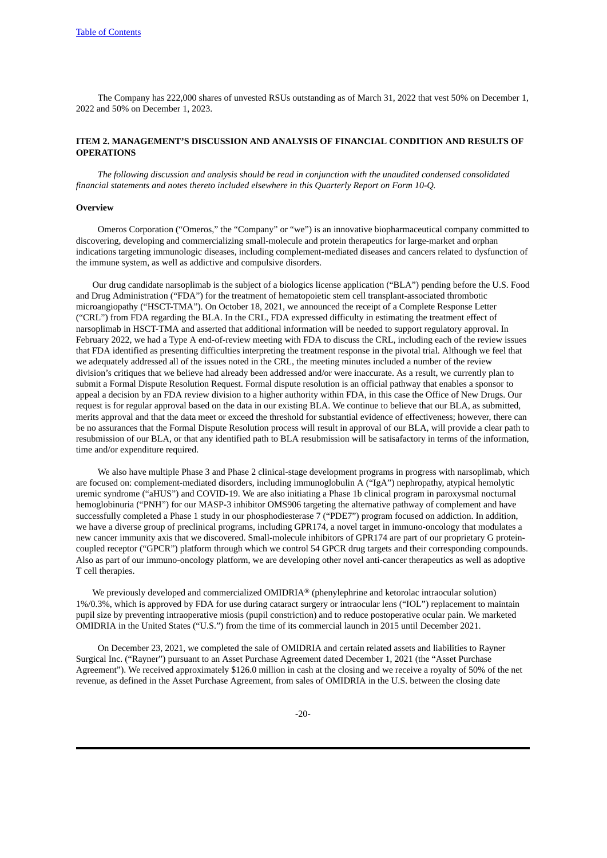The Company has 222,000 shares of unvested RSUs outstanding as of March 31, 2022 that vest 50% on December 1, 2022 and 50% on December 1, 2023.

### <span id="page-19-0"></span>**ITEM 2. MANAGEMENT'S DISCUSSION AND ANALYSIS OF FINANCIAL CONDITION AND RESULTS OF OPERATIONS**

*The following discussion and analysis should be read in conjunction with the unaudited condensed consolidated financial statements and notes thereto included elsewhere in this Quarterly Report on Form 10-Q.*

#### **Overview**

Omeros Corporation ("Omeros," the "Company" or "we") is an innovative biopharmaceutical company committed to discovering, developing and commercializing small-molecule and protein therapeutics for large-market and orphan indications targeting immunologic diseases, including complement-mediated diseases and cancers related to dysfunction of the immune system, as well as addictive and compulsive disorders.

Our drug candidate narsoplimab is the subject of a biologics license application ("BLA") pending before the U.S. Food and Drug Administration ("FDA") for the treatment of hematopoietic stem cell transplant-associated thrombotic microangiopathy ("HSCT-TMA"). On October 18, 2021, we announced the receipt of a Complete Response Letter ("CRL") from FDA regarding the BLA. In the CRL, FDA expressed difficulty in estimating the treatment effect of narsoplimab in HSCT-TMA and asserted that additional information will be needed to support regulatory approval. In February 2022, we had a Type A end-of-review meeting with FDA to discuss the CRL, including each of the review issues that FDA identified as presenting difficulties interpreting the treatment response in the pivotal trial. Although we feel that we adequately addressed all of the issues noted in the CRL, the meeting minutes included a number of the review division's critiques that we believe had already been addressed and/or were inaccurate. As a result, we currently plan to submit a Formal Dispute Resolution Request. Formal dispute resolution is an official pathway that enables a sponsor to appeal a decision by an FDA review division to a higher authority within FDA, in this case the Office of New Drugs. Our request is for regular approval based on the data in our existing BLA. We continue to believe that our BLA, as submitted, merits approval and that the data meet or exceed the threshold for substantial evidence of effectiveness; however, there can be no assurances that the Formal Dispute Resolution process will result in approval of our BLA, will provide a clear path to resubmission of our BLA, or that any identified path to BLA resubmission will be satisafactory in terms of the information, time and/or expenditure required.

We also have multiple Phase 3 and Phase 2 clinical-stage development programs in progress with narsoplimab, which are focused on: complement-mediated disorders, including immunoglobulin A ("IgA") nephropathy, atypical hemolytic uremic syndrome ("aHUS") and COVID-19. We are also initiating a Phase 1b clinical program in paroxysmal nocturnal hemoglobinuria ("PNH") for our MASP-3 inhibitor OMS906 targeting the alternative pathway of complement and have successfully completed a Phase 1 study in our phosphodiesterase 7 ("PDE7") program focused on addiction. In addition, we have a diverse group of preclinical programs, including GPR174, a novel target in immuno-oncology that modulates a new cancer immunity axis that we discovered. Small-molecule inhibitors of GPR174 are part of our proprietary G proteincoupled receptor ("GPCR") platform through which we control 54 GPCR drug targets and their corresponding compounds. Also as part of our immuno-oncology platform, we are developing other novel anti-cancer therapeutics as well as adoptive T cell therapies.

We previously developed and commercialized OMIDRIA® (phenylephrine and ketorolac intraocular solution) 1%/0.3%, which is approved by FDA for use during cataract surgery or intraocular lens ("IOL") replacement to maintain pupil size by preventing intraoperative miosis (pupil constriction) and to reduce postoperative ocular pain. We marketed OMIDRIA in the United States ("U.S.") from the time of its commercial launch in 2015 until December 2021.

On December 23, 2021, we completed the sale of OMIDRIA and certain related assets and liabilities to Rayner Surgical Inc. ("Rayner") pursuant to an Asset Purchase Agreement dated December 1, 2021 (the "Asset Purchase Agreement"). We received approximately \$126.0 million in cash at the closing and we receive a royalty of 50% of the net revenue, as defined in the Asset Purchase Agreement, from sales of OMIDRIA in the U.S. between the closing date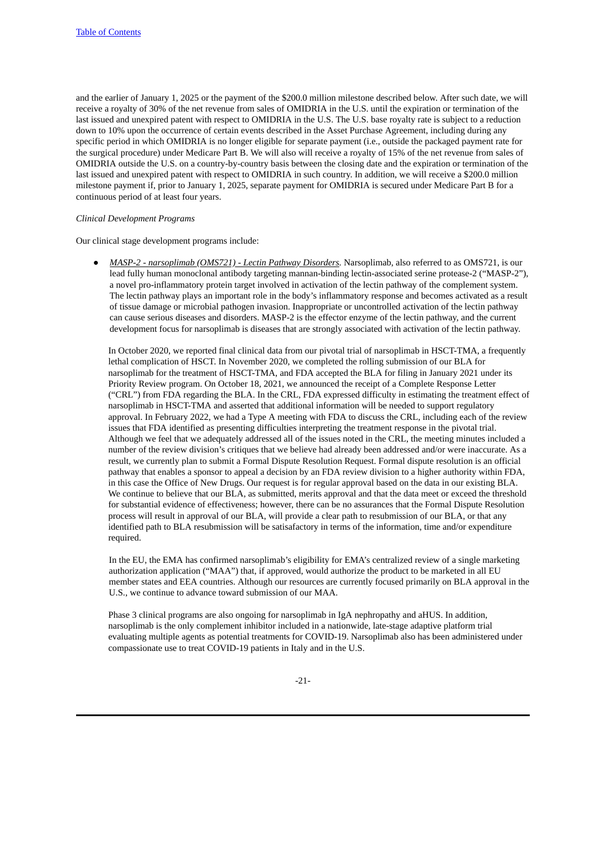and the earlier of January 1, 2025 or the payment of the \$200.0 million milestone described below. After such date, we will receive a royalty of 30% of the net revenue from sales of OMIDRIA in the U.S. until the expiration or termination of the last issued and unexpired patent with respect to OMIDRIA in the U.S. The U.S. base royalty rate is subject to a reduction down to 10% upon the occurrence of certain events described in the Asset Purchase Agreement, including during any specific period in which OMIDRIA is no longer eligible for separate payment (i.e., outside the packaged payment rate for the surgical procedure) under Medicare Part B. We will also will receive a royalty of 15% of the net revenue from sales of OMIDRIA outside the U.S. on a country-by-country basis between the closing date and the expiration or termination of the last issued and unexpired patent with respect to OMIDRIA in such country. In addition, we will receive a \$200.0 million milestone payment if, prior to January 1, 2025, separate payment for OMIDRIA is secured under Medicare Part B for a continuous period of at least four years.

#### *Clinical Development Programs*

Our clinical stage development programs include:

● *MASP-2 - narsoplimab (OMS721) - Lectin Pathway Disorders.* Narsoplimab, also referred to as OMS721, is our lead fully human monoclonal antibody targeting mannan-binding lectin-associated serine protease-2 ("MASP-2"), a novel pro-inflammatory protein target involved in activation of the lectin pathway of the complement system. The lectin pathway plays an important role in the body's inflammatory response and becomes activated as a result of tissue damage or microbial pathogen invasion. Inappropriate or uncontrolled activation of the lectin pathway can cause serious diseases and disorders. MASP-2 is the effector enzyme of the lectin pathway, and the current development focus for narsoplimab is diseases that are strongly associated with activation of the lectin pathway.

In October 2020, we reported final clinical data from our pivotal trial of narsoplimab in HSCT-TMA, a frequently lethal complication of HSCT. In November 2020, we completed the rolling submission of our BLA for narsoplimab for the treatment of HSCT-TMA, and FDA accepted the BLA for filing in January 2021 under its Priority Review program. On October 18, 2021, we announced the receipt of a Complete Response Letter ("CRL") from FDA regarding the BLA. In the CRL, FDA expressed difficulty in estimating the treatment effect of narsoplimab in HSCT-TMA and asserted that additional information will be needed to support regulatory approval. In February 2022, we had a Type A meeting with FDA to discuss the CRL, including each of the review issues that FDA identified as presenting difficulties interpreting the treatment response in the pivotal trial. Although we feel that we adequately addressed all of the issues noted in the CRL, the meeting minutes included a number of the review division's critiques that we believe had already been addressed and/or were inaccurate. As a result, we currently plan to submit a Formal Dispute Resolution Request. Formal dispute resolution is an official pathway that enables a sponsor to appeal a decision by an FDA review division to a higher authority within FDA, in this case the Office of New Drugs. Our request is for regular approval based on the data in our existing BLA. We continue to believe that our BLA, as submitted, merits approval and that the data meet or exceed the threshold for substantial evidence of effectiveness; however, there can be no assurances that the Formal Dispute Resolution process will result in approval of our BLA, will provide a clear path to resubmission of our BLA, or that any identified path to BLA resubmission will be satisafactory in terms of the information, time and/or expenditure required.

In the EU, the EMA has confirmed narsoplimab's eligibility for EMA's centralized review of a single marketing authorization application ("MAA") that, if approved, would authorize the product to be marketed in all EU member states and EEA countries. Although our resources are currently focused primarily on BLA approval in the U.S., we continue to advance toward submission of our MAA.

Phase 3 clinical programs are also ongoing for narsoplimab in IgA nephropathy and aHUS. In addition, narsoplimab is the only complement inhibitor included in a nationwide, late-stage adaptive platform trial evaluating multiple agents as potential treatments for COVID-19. Narsoplimab also has been administered under compassionate use to treat COVID-19 patients in Italy and in the U.S.

-21-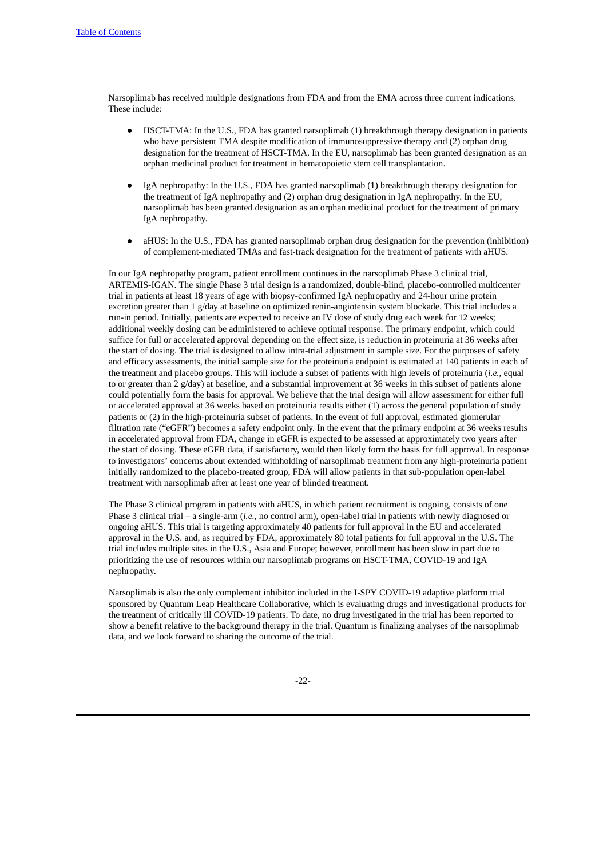Narsoplimab has received multiple designations from FDA and from the EMA across three current indications. These include:

- HSCT-TMA: In the U.S., FDA has granted narsoplimab (1) breakthrough therapy designation in patients who have persistent TMA despite modification of immunosuppressive therapy and (2) orphan drug designation for the treatment of HSCT-TMA. In the EU, narsoplimab has been granted designation as an orphan medicinal product for treatment in hematopoietic stem cell transplantation.
- IgA nephropathy: In the U.S., FDA has granted narsoplimab (1) breakthrough therapy designation for the treatment of IgA nephropathy and (2) orphan drug designation in IgA nephropathy. In the EU, narsoplimab has been granted designation as an orphan medicinal product for the treatment of primary IgA nephropathy.
- aHUS: In the U.S., FDA has granted narsoplimab orphan drug designation for the prevention (inhibition) of complement-mediated TMAs and fast-track designation for the treatment of patients with aHUS.

In our IgA nephropathy program, patient enrollment continues in the narsoplimab Phase 3 clinical trial, ARTEMIS-IGAN. The single Phase 3 trial design is a randomized, double-blind, placebo-controlled multicenter trial in patients at least 18 years of age with biopsy-confirmed IgA nephropathy and 24-hour urine protein excretion greater than 1 g/day at baseline on optimized renin-angiotensin system blockade. This trial includes a run-in period. Initially, patients are expected to receive an IV dose of study drug each week for 12 weeks; additional weekly dosing can be administered to achieve optimal response. The primary endpoint, which could suffice for full or accelerated approval depending on the effect size, is reduction in proteinuria at 36 weeks after the start of dosing. The trial is designed to allow intra-trial adjustment in sample size. For the purposes of safety and efficacy assessments, the initial sample size for the proteinuria endpoint is estimated at 140 patients in each of the treatment and placebo groups. This will include a subset of patients with high levels of proteinuria (*i.e.*, equal to or greater than 2 g/day) at baseline, and a substantial improvement at 36 weeks in this subset of patients alone could potentially form the basis for approval. We believe that the trial design will allow assessment for either full or accelerated approval at 36 weeks based on proteinuria results either (1) across the general population of study patients or (2) in the high-proteinuria subset of patients. In the event of full approval, estimated glomerular filtration rate ("eGFR") becomes a safety endpoint only. In the event that the primary endpoint at 36 weeks results in accelerated approval from FDA, change in eGFR is expected to be assessed at approximately two years after the start of dosing. These eGFR data, if satisfactory, would then likely form the basis for full approval. In response to investigators' concerns about extended withholding of narsoplimab treatment from any high-proteinuria patient initially randomized to the placebo-treated group, FDA will allow patients in that sub-population open-label treatment with narsoplimab after at least one year of blinded treatment.

The Phase 3 clinical program in patients with aHUS, in which patient recruitment is ongoing, consists of one Phase 3 clinical trial – a single-arm (*i.e.*, no control arm), open-label trial in patients with newly diagnosed or ongoing aHUS. This trial is targeting approximately 40 patients for full approval in the EU and accelerated approval in the U.S. and, as required by FDA, approximately 80 total patients for full approval in the U.S. The trial includes multiple sites in the U.S., Asia and Europe; however, enrollment has been slow in part due to prioritizing the use of resources within our narsoplimab programs on HSCT-TMA, COVID-19 and IgA nephropathy.

Narsoplimab is also the only complement inhibitor included in the I-SPY COVID-19 adaptive platform trial sponsored by Quantum Leap Healthcare Collaborative, which is evaluating drugs and investigational products for the treatment of critically ill COVID-19 patients. To date, no drug investigated in the trial has been reported to show a benefit relative to the background therapy in the trial. Quantum is finalizing analyses of the narsoplimab data, and we look forward to sharing the outcome of the trial.

-22-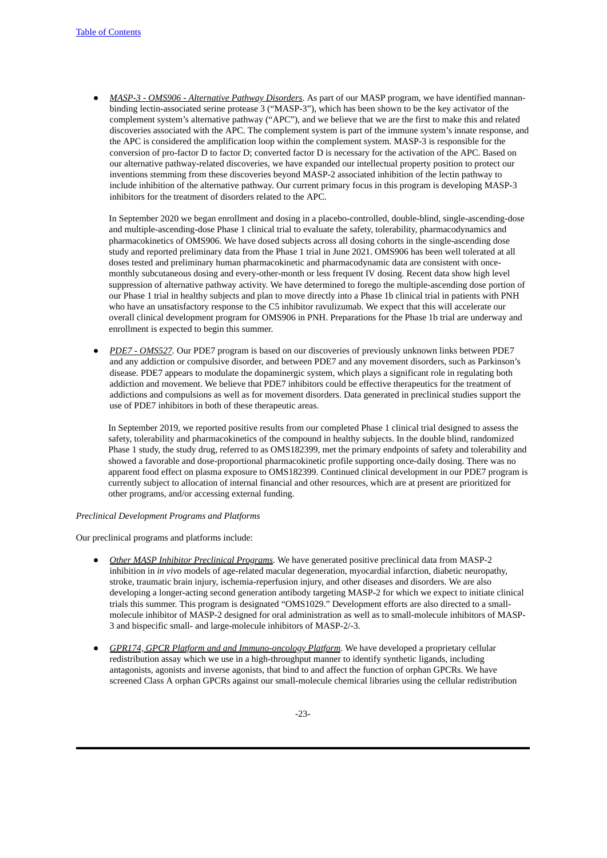● *MASP-3 - OMS906 - Alternative Pathway Disorders*. As part of our MASP program, we have identified mannanbinding lectin-associated serine protease 3 ("MASP-3"), which has been shown to be the key activator of the complement system's alternative pathway ("APC"), and we believe that we are the first to make this and related discoveries associated with the APC. The complement system is part of the immune system's innate response, and the APC is considered the amplification loop within the complement system. MASP-3 is responsible for the conversion of pro-factor D to factor D; converted factor D is necessary for the activation of the APC. Based on our alternative pathway-related discoveries, we have expanded our intellectual property position to protect our inventions stemming from these discoveries beyond MASP-2 associated inhibition of the lectin pathway to include inhibition of the alternative pathway. Our current primary focus in this program is developing MASP-3 inhibitors for the treatment of disorders related to the APC.

In September 2020 we began enrollment and dosing in a placebo-controlled, double-blind, single-ascending-dose and multiple-ascending-dose Phase 1 clinical trial to evaluate the safety, tolerability, pharmacodynamics and pharmacokinetics of OMS906. We have dosed subjects across all dosing cohorts in the single-ascending dose study and reported preliminary data from the Phase 1 trial in June 2021. OMS906 has been well tolerated at all doses tested and preliminary human pharmacokinetic and pharmacodynamic data are consistent with oncemonthly subcutaneous dosing and every-other-month or less frequent IV dosing. Recent data show high level suppression of alternative pathway activity. We have determined to forego the multiple-ascending dose portion of our Phase 1 trial in healthy subjects and plan to move directly into a Phase 1b clinical trial in patients with PNH who have an unsatisfactory response to the C5 inhibitor ravulizumab. We expect that this will accelerate our overall clinical development program for OMS906 in PNH. Preparations for the Phase 1b trial are underway and enrollment is expected to begin this summer.

● *PDE7 - OMS527.* Our PDE7 program is based on our discoveries of previously unknown links between PDE7 and any addiction or compulsive disorder, and between PDE7 and any movement disorders, such as Parkinson's disease. PDE7 appears to modulate the dopaminergic system, which plays a significant role in regulating both addiction and movement. We believe that PDE7 inhibitors could be effective therapeutics for the treatment of addictions and compulsions as well as for movement disorders. Data generated in preclinical studies support the use of PDE7 inhibitors in both of these therapeutic areas.

In September 2019, we reported positive results from our completed Phase 1 clinical trial designed to assess the safety, tolerability and pharmacokinetics of the compound in healthy subjects. In the double blind, randomized Phase 1 study, the study drug, referred to as OMS182399, met the primary endpoints of safety and tolerability and showed a favorable and dose-proportional pharmacokinetic profile supporting once-daily dosing. There was no apparent food effect on plasma exposure to OMS182399. Continued clinical development in our PDE7 program is currently subject to allocation of internal financial and other resources, which are at present are prioritized for other programs, and/or accessing external funding.

#### *Preclinical Development Programs and Platforms*

Our preclinical programs and platforms include:

- *Other MASP Inhibitor Preclinical Programs.* We have generated positive preclinical data from MASP-2 inhibition in *in vivo* models of age-related macular degeneration, myocardial infarction, diabetic neuropathy, stroke, traumatic brain injury, ischemia-reperfusion injury, and other diseases and disorders. We are also developing a longer-acting second generation antibody targeting MASP-2 for which we expect to initiate clinical trials this summer. This program is designated "OMS1029." Development efforts are also directed to a smallmolecule inhibitor of MASP-2 designed for oral administration as well as to small-molecule inhibitors of MASP-3 and bispecific small- and large-molecule inhibitors of MASP-2/-3.
- *GPR174, GPCR Platform and and Immuno-oncology Platform*. We have developed a proprietary cellular redistribution assay which we use in a high-throughput manner to identify synthetic ligands, including antagonists, agonists and inverse agonists, that bind to and affect the function of orphan GPCRs. We have screened Class A orphan GPCRs against our small-molecule chemical libraries using the cellular redistribution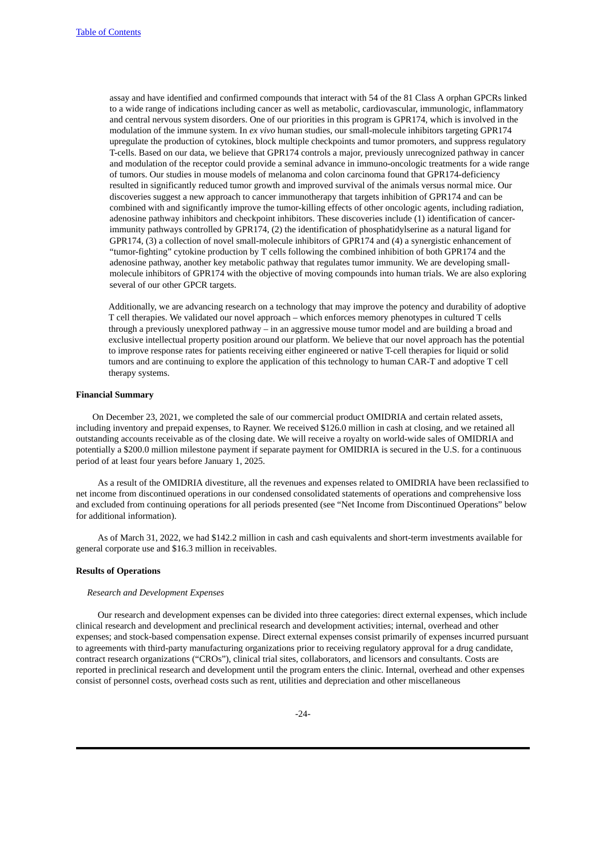assay and have identified and confirmed compounds that interact with 54 of the 81 Class A orphan GPCRs linked to a wide range of indications including cancer as well as metabolic, cardiovascular, immunologic, inflammatory and central nervous system disorders. One of our priorities in this program is GPR174, which is involved in the modulation of the immune system. In *ex vivo* human studies, our small-molecule inhibitors targeting GPR174 upregulate the production of cytokines, block multiple checkpoints and tumor promoters, and suppress regulatory T-cells. Based on our data, we believe that GPR174 controls a major, previously unrecognized pathway in cancer and modulation of the receptor could provide a seminal advance in immuno-oncologic treatments for a wide range of tumors. Our studies in mouse models of melanoma and colon carcinoma found that GPR174-deficiency resulted in significantly reduced tumor growth and improved survival of the animals versus normal mice. Our discoveries suggest a new approach to cancer immunotherapy that targets inhibition of GPR174 and can be combined with and significantly improve the tumor-killing effects of other oncologic agents, including radiation, adenosine pathway inhibitors and checkpoint inhibitors. These discoveries include (1) identification of cancerimmunity pathways controlled by GPR174, (2) the identification of phosphatidylserine as a natural ligand for GPR174, (3) a collection of novel small-molecule inhibitors of GPR174 and (4) a synergistic enhancement of "tumor-fighting" cytokine production by T cells following the combined inhibition of both GPR174 and the adenosine pathway, another key metabolic pathway that regulates tumor immunity. We are developing smallmolecule inhibitors of GPR174 with the objective of moving compounds into human trials. We are also exploring several of our other GPCR targets.

Additionally, we are advancing research on a technology that may improve the potency and durability of adoptive T cell therapies. We validated our novel approach – which enforces memory phenotypes in cultured T cells through a previously unexplored pathway – in an aggressive mouse tumor model and are building a broad and exclusive intellectual property position around our platform. We believe that our novel approach has the potential to improve response rates for patients receiving either engineered or native T-cell therapies for liquid or solid tumors and are continuing to explore the application of this technology to human CAR-T and adoptive T cell therapy systems.

#### **Financial Summary**

On December 23, 2021, we completed the sale of our commercial product OMIDRIA and certain related assets, including inventory and prepaid expenses, to Rayner. We received \$126.0 million in cash at closing, and we retained all outstanding accounts receivable as of the closing date. We will receive a royalty on world-wide sales of OMIDRIA and potentially a \$200.0 million milestone payment if separate payment for OMIDRIA is secured in the U.S. for a continuous period of at least four years before January 1, 2025.

As a result of the OMIDRIA divestiture, all the revenues and expenses related to OMIDRIA have been reclassified to net income from discontinued operations in our condensed consolidated statements of operations and comprehensive loss and excluded from continuing operations for all periods presented (see "Net Income from Discontinued Operations" below for additional information).

As of March 31, 2022, we had \$142.2 million in cash and cash equivalents and short-term investments available for general corporate use and \$16.3 million in receivables.

#### **Results of Operations**

#### *Research and Development Expenses*

Our research and development expenses can be divided into three categories: direct external expenses, which include clinical research and development and preclinical research and development activities; internal, overhead and other expenses; and stock-based compensation expense. Direct external expenses consist primarily of expenses incurred pursuant to agreements with third-party manufacturing organizations prior to receiving regulatory approval for a drug candidate, contract research organizations ("CROs"), clinical trial sites, collaborators, and licensors and consultants. Costs are reported in preclinical research and development until the program enters the clinic. Internal, overhead and other expenses consist of personnel costs, overhead costs such as rent, utilities and depreciation and other miscellaneous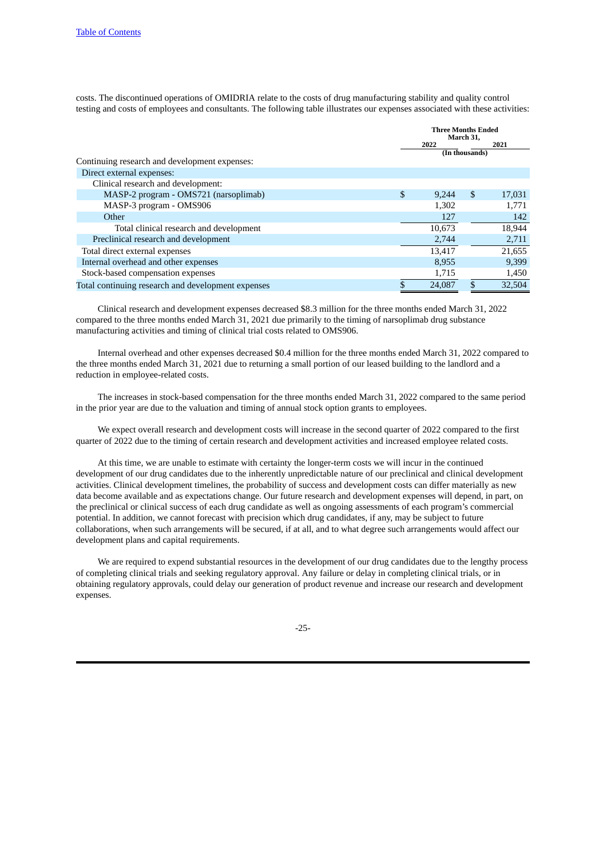costs. The discontinued operations of OMIDRIA relate to the costs of drug manufacturing stability and quality control testing and costs of employees and consultants. The following table illustrates our expenses associated with these activities:

|                                                    | <b>Three Months Ended</b><br>March 31, |                |        |
|----------------------------------------------------|----------------------------------------|----------------|--------|
|                                                    | 2022                                   |                | 2021   |
|                                                    |                                        | (In thousands) |        |
| Continuing research and development expenses:      |                                        |                |        |
| Direct external expenses:                          |                                        |                |        |
| Clinical research and development:                 |                                        |                |        |
| MASP-2 program - OMS721 (narsoplimab)              | \$<br>9,244                            | \$             | 17,031 |
| MASP-3 program - OMS906                            | 1,302                                  |                | 1,771  |
| Other                                              | 127                                    |                | 142    |
| Total clinical research and development            | 10,673                                 |                | 18,944 |
| Preclinical research and development               | 2,744                                  |                | 2,711  |
| Total direct external expenses                     | 13,417                                 |                | 21,655 |
| Internal overhead and other expenses               | 8,955                                  |                | 9,399  |
| Stock-based compensation expenses                  | 1,715                                  |                | 1,450  |
| Total continuing research and development expenses | 24,087                                 |                | 32,504 |

Clinical research and development expenses decreased \$8.3 million for the three months ended March 31, 2022 compared to the three months ended March 31, 2021 due primarily to the timing of narsoplimab drug substance manufacturing activities and timing of clinical trial costs related to OMS906.

Internal overhead and other expenses decreased \$0.4 million for the three months ended March 31, 2022 compared to the three months ended March 31, 2021 due to returning a small portion of our leased building to the landlord and a reduction in employee-related costs.

The increases in stock-based compensation for the three months ended March 31, 2022 compared to the same period in the prior year are due to the valuation and timing of annual stock option grants to employees.

We expect overall research and development costs will increase in the second quarter of 2022 compared to the first quarter of 2022 due to the timing of certain research and development activities and increased employee related costs.

At this time, we are unable to estimate with certainty the longer-term costs we will incur in the continued development of our drug candidates due to the inherently unpredictable nature of our preclinical and clinical development activities. Clinical development timelines, the probability of success and development costs can differ materially as new data become available and as expectations change. Our future research and development expenses will depend, in part, on the preclinical or clinical success of each drug candidate as well as ongoing assessments of each program's commercial potential. In addition, we cannot forecast with precision which drug candidates, if any, may be subject to future collaborations, when such arrangements will be secured, if at all, and to what degree such arrangements would affect our development plans and capital requirements.

We are required to expend substantial resources in the development of our drug candidates due to the lengthy process of completing clinical trials and seeking regulatory approval. Any failure or delay in completing clinical trials, or in obtaining regulatory approvals, could delay our generation of product revenue and increase our research and development expenses.

#### -25-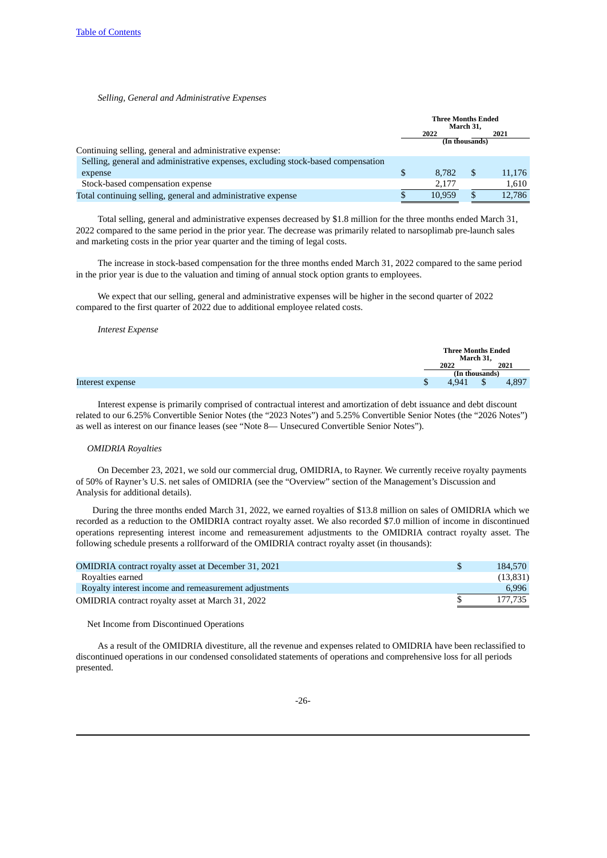#### *Selling, General and Administrative Expenses*

|                                                                                  | <b>Three Months Ended</b><br>March 31. |                |  |        |
|----------------------------------------------------------------------------------|----------------------------------------|----------------|--|--------|
|                                                                                  |                                        | 2022           |  | 2021   |
|                                                                                  |                                        | (In thousands) |  |        |
| Continuing selling, general and administrative expense:                          |                                        |                |  |        |
| Selling, general and administrative expenses, excluding stock-based compensation |                                        |                |  |        |
| expense                                                                          | \$.                                    | 8.782          |  | 11,176 |
| Stock-based compensation expense                                                 |                                        | 2.177          |  | 1,610  |
| Total continuing selling, general and administrative expense                     |                                        | 10.959         |  | 12.786 |

Total selling, general and administrative expenses decreased by \$1.8 million for the three months ended March 31, 2022 compared to the same period in the prior year. The decrease was primarily related to narsoplimab pre-launch sales and marketing costs in the prior year quarter and the timing of legal costs.

The increase in stock-based compensation for the three months ended March 31, 2022 compared to the same period in the prior year is due to the valuation and timing of annual stock option grants to employees.

We expect that our selling, general and administrative expenses will be higher in the second quarter of 2022 compared to the first quarter of 2022 due to additional employee related costs.

#### *Interest Expense*

|                  |  | <b>Three Months Ended</b><br>March 31, |   |       |
|------------------|--|----------------------------------------|---|-------|
|                  |  | 2022                                   |   | 2021  |
|                  |  | (In thousands)                         |   |       |
| Interest expense |  | 4.941                                  | D | 4,897 |

Interest expense is primarily comprised of contractual interest and amortization of debt issuance and debt discount related to our 6.25% Convertible Senior Notes (the "2023 Notes") and 5.25% Convertible Senior Notes (the "2026 Notes") as well as interest on our finance leases (see "Note 8— Unsecured Convertible Senior Notes").

#### *OMIDRIA Royalties*

On December 23, 2021, we sold our commercial drug, OMIDRIA, to Rayner. We currently receive royalty payments of 50% of Rayner's U.S. net sales of OMIDRIA (see the "Overview" section of the Management's Discussion and Analysis for additional details).

During the three months ended March 31, 2022, we earned royalties of \$13.8 million on sales of OMIDRIA which we recorded as a reduction to the OMIDRIA contract royalty asset. We also recorded \$7.0 million of income in discontinued operations representing interest income and remeasurement adjustments to the OMIDRIA contract royalty asset. The following schedule presents a rollforward of the OMIDRIA contract royalty asset (in thousands):

| <b>OMIDRIA</b> contract royalty asset at December 31, 2021 | 184.570   |
|------------------------------------------------------------|-----------|
| Rovalties earned                                           | (13, 831) |
| Rovalty interest income and remeasurement adjustments      | 6.996     |
| <b>OMIDRIA</b> contract royalty asset at March 31, 2022    | 177.735   |

Net Income from Discontinued Operations

As a result of the OMIDRIA divestiture, all the revenue and expenses related to OMIDRIA have been reclassified to discontinued operations in our condensed consolidated statements of operations and comprehensive loss for all periods presented.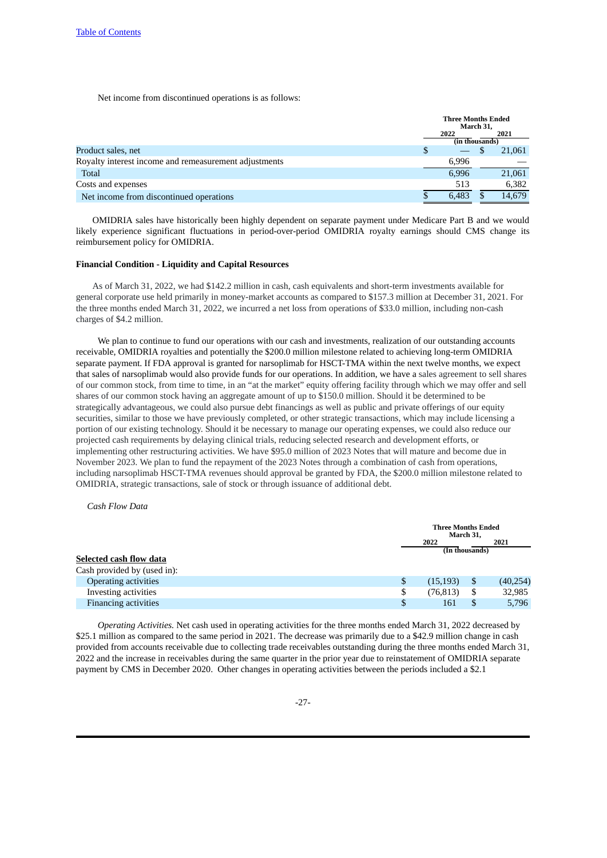Net income from discontinued operations is as follows:

|                                                       | <b>Three Months Ended</b><br>March 31, |  |        |
|-------------------------------------------------------|----------------------------------------|--|--------|
|                                                       | 2022                                   |  | 2021   |
|                                                       | (in thousands)                         |  |        |
| Product sales, net                                    | \$                                     |  | 21,061 |
| Royalty interest income and remeasurement adjustments | 6.996                                  |  |        |
| <b>Total</b>                                          | 6,996                                  |  | 21,061 |
| Costs and expenses                                    | 513                                    |  | 6,382  |
| Net income from discontinued operations               | 6.483                                  |  | 14.679 |
|                                                       |                                        |  |        |

OMIDRIA sales have historically been highly dependent on separate payment under Medicare Part B and we would likely experience significant fluctuations in period-over-period OMIDRIA royalty earnings should CMS change its reimbursement policy for OMIDRIA.

#### **Financial Condition - Liquidity and Capital Resources**

As of March 31, 2022, we had \$142.2 million in cash, cash equivalents and short-term investments available for general corporate use held primarily in money-market accounts as compared to \$157.3 million at December 31, 2021. For the three months ended March 31, 2022, we incurred a net loss from operations of \$33.0 million, including non-cash charges of \$4.2 million.

We plan to continue to fund our operations with our cash and investments, realization of our outstanding accounts receivable, OMIDRIA royalties and potentially the \$200.0 million milestone related to achieving long-term OMIDRIA separate payment. If FDA approval is granted for narsoplimab for HSCT-TMA within the next twelve months, we expect that sales of narsoplimab would also provide funds for our operations. In addition, we have a sales agreement to sell shares of our common stock, from time to time, in an "at the market" equity offering facility through which we may offer and sell shares of our common stock having an aggregate amount of up to \$150.0 million. Should it be determined to be strategically advantageous, we could also pursue debt financings as well as public and private offerings of our equity securities, similar to those we have previously completed, or other strategic transactions, which may include licensing a portion of our existing technology. Should it be necessary to manage our operating expenses, we could also reduce our projected cash requirements by delaying clinical trials, reducing selected research and development efforts, or implementing other restructuring activities. We have \$95.0 million of 2023 Notes that will mature and become due in November 2023. We plan to fund the repayment of the 2023 Notes through a combination of cash from operations, including narsoplimab HSCT-TMA revenues should approval be granted by FDA, the \$200.0 million milestone related to OMIDRIA, strategic transactions, sale of stock or through issuance of additional debt.

*Cash Flow Data*

|                             | <b>Three Months Ended</b><br>March 31, |    |           |
|-----------------------------|----------------------------------------|----|-----------|
|                             | 2022                                   |    | 2021      |
|                             | (In thousands)                         |    |           |
| Selected cash flow data     |                                        |    |           |
| Cash provided by (used in): |                                        |    |           |
| <b>Operating activities</b> | \$<br>(15, 193)                        | \$ | (40, 254) |
| Investing activities        | \$<br>(76, 813)                        | S  | 32,985    |
| <b>Financing activities</b> | \$<br>161                              |    | 5,796     |

*Operating Activities.* Net cash used in operating activities for the three months ended March 31, 2022 decreased by \$25.1 million as compared to the same period in 2021. The decrease was primarily due to a \$42.9 million change in cash provided from accounts receivable due to collecting trade receivables outstanding during the three months ended March 31, 2022 and the increase in receivables during the same quarter in the prior year due to reinstatement of OMIDRIA separate payment by CMS in December 2020. Other changes in operating activities between the periods included a \$2.1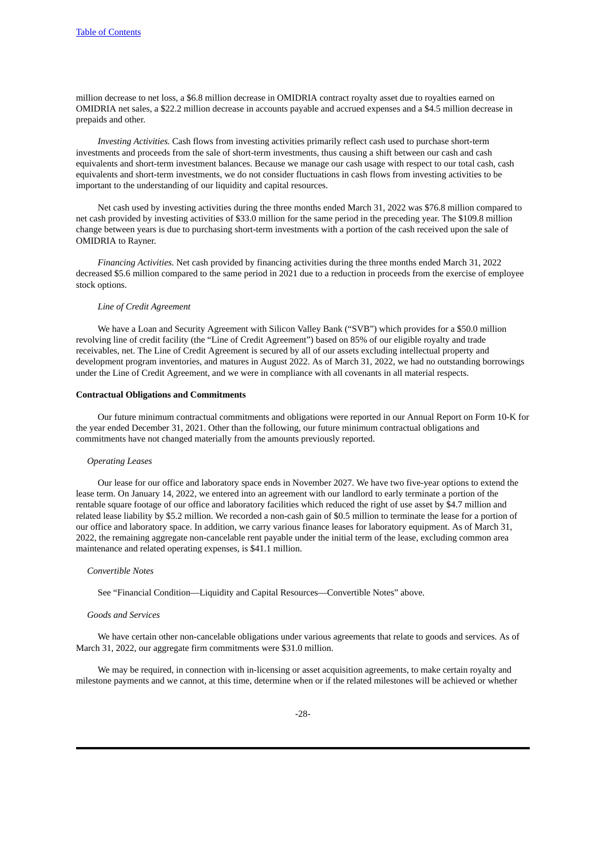million decrease to net loss, a \$6.8 million decrease in OMIDRIA contract royalty asset due to royalties earned on OMIDRIA net sales, a \$22.2 million decrease in accounts payable and accrued expenses and a \$4.5 million decrease in prepaids and other.

*Investing Activities.* Cash flows from investing activities primarily reflect cash used to purchase short-term investments and proceeds from the sale of short-term investments, thus causing a shift between our cash and cash equivalents and short-term investment balances. Because we manage our cash usage with respect to our total cash, cash equivalents and short-term investments, we do not consider fluctuations in cash flows from investing activities to be important to the understanding of our liquidity and capital resources.

Net cash used by investing activities during the three months ended March 31, 2022 was \$76.8 million compared to net cash provided by investing activities of \$33.0 million for the same period in the preceding year. The \$109.8 million change between years is due to purchasing short-term investments with a portion of the cash received upon the sale of OMIDRIA to Rayner.

*Financing Activities.* Net cash provided by financing activities during the three months ended March 31, 2022 decreased \$5.6 million compared to the same period in 2021 due to a reduction in proceeds from the exercise of employee stock options.

#### *Line of Credit Agreement*

We have a Loan and Security Agreement with Silicon Valley Bank ("SVB") which provides for a \$50.0 million revolving line of credit facility (the "Line of Credit Agreement") based on 85% of our eligible royalty and trade receivables, net. The Line of Credit Agreement is secured by all of our assets excluding intellectual property and development program inventories, and matures in August 2022. As of March 31, 2022, we had no outstanding borrowings under the Line of Credit Agreement, and we were in compliance with all covenants in all material respects.

#### **Contractual Obligations and Commitments**

Our future minimum contractual commitments and obligations were reported in our Annual Report on Form 10-K for the year ended December 31, 2021. Other than the following, our future minimum contractual obligations and commitments have not changed materially from the amounts previously reported.

#### *Operating Leases*

Our lease for our office and laboratory space ends in November 2027. We have two five-year options to extend the lease term. On January 14, 2022, we entered into an agreement with our landlord to early terminate a portion of the rentable square footage of our office and laboratory facilities which reduced the right of use asset by \$4.7 million and related lease liability by \$5.2 million. We recorded a non-cash gain of \$0.5 million to terminate the lease for a portion of our office and laboratory space. In addition, we carry various finance leases for laboratory equipment. As of March 31, 2022, the remaining aggregate non-cancelable rent payable under the initial term of the lease, excluding common area maintenance and related operating expenses, is \$41.1 million.

#### *Convertible Notes*

See "Financial Condition—Liquidity and Capital Resources—Convertible Notes" above.

#### *Goods and Services*

We have certain other non-cancelable obligations under various agreements that relate to goods and services. As of March 31, 2022, our aggregate firm commitments were \$31.0 million.

We may be required, in connection with in-licensing or asset acquisition agreements, to make certain royalty and milestone payments and we cannot, at this time, determine when or if the related milestones will be achieved or whether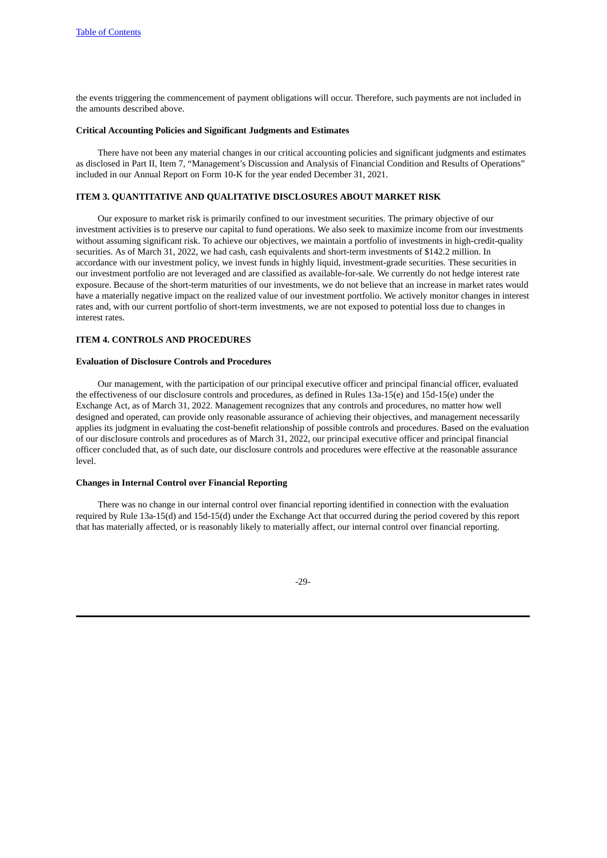the events triggering the commencement of payment obligations will occur. Therefore, such payments are not included in the amounts described above.

#### **Critical Accounting Policies and Significant Judgments and Estimates**

There have not been any material changes in our critical accounting policies and significant judgments and estimates as disclosed in Part II, Item 7, "Management's Discussion and Analysis of Financial Condition and Results of Operations" included in our Annual Report on Form 10-K for the year ended December 31, 2021.

#### <span id="page-28-0"></span>**ITEM 3. QUANTITATIVE AND QUALITATIVE DISCLOSURES ABOUT MARKET RISK**

Our exposure to market risk is primarily confined to our investment securities. The primary objective of our investment activities is to preserve our capital to fund operations. We also seek to maximize income from our investments without assuming significant risk. To achieve our objectives, we maintain a portfolio of investments in high-credit-quality securities. As of March 31, 2022, we had cash, cash equivalents and short-term investments of \$142.2 million. In accordance with our investment policy, we invest funds in highly liquid, investment-grade securities. These securities in our investment portfolio are not leveraged and are classified as available-for-sale. We currently do not hedge interest rate exposure. Because of the short-term maturities of our investments, we do not believe that an increase in market rates would have a materially negative impact on the realized value of our investment portfolio. We actively monitor changes in interest rates and, with our current portfolio of short-term investments, we are not exposed to potential loss due to changes in interest rates.

#### <span id="page-28-1"></span>**ITEM 4. CONTROLS AND PROCEDURES**

#### **Evaluation of Disclosure Controls and Procedures**

Our management, with the participation of our principal executive officer and principal financial officer, evaluated the effectiveness of our disclosure controls and procedures, as defined in Rules 13a-15(e) and 15d-15(e) under the Exchange Act, as of March 31, 2022. Management recognizes that any controls and procedures, no matter how well designed and operated, can provide only reasonable assurance of achieving their objectives, and management necessarily applies its judgment in evaluating the cost-benefit relationship of possible controls and procedures. Based on the evaluation of our disclosure controls and procedures as of March 31, 2022, our principal executive officer and principal financial officer concluded that, as of such date, our disclosure controls and procedures were effective at the reasonable assurance level.

#### **Changes in Internal Control over Financial Reporting**

There was no change in our internal control over financial reporting identified in connection with the evaluation required by Rule 13a-15(d) and 15d-15(d) under the Exchange Act that occurred during the period covered by this report that has materially affected, or is reasonably likely to materially affect, our internal control over financial reporting.

-29-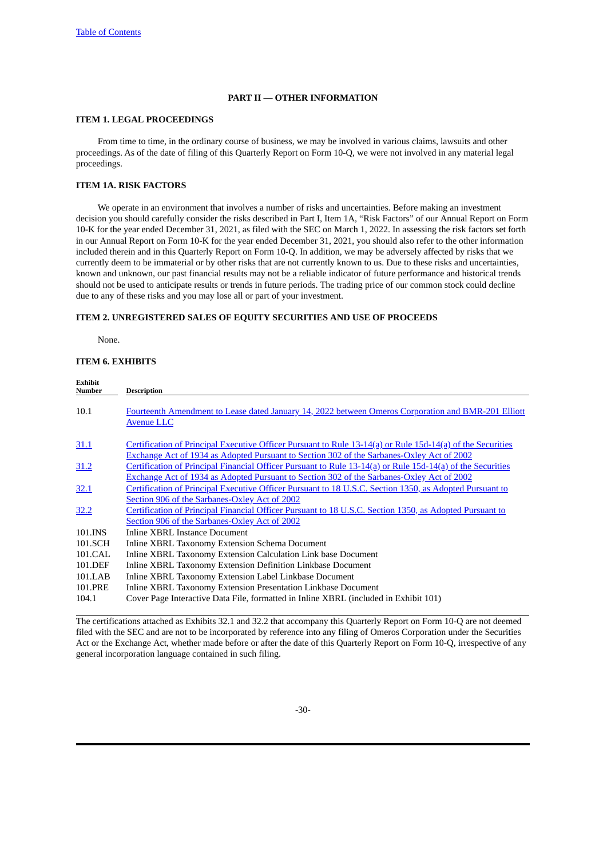#### **PART II — OTHER INFORMATION**

#### <span id="page-29-1"></span><span id="page-29-0"></span>**ITEM 1. LEGAL PROCEEDINGS**

From time to time, in the ordinary course of business, we may be involved in various claims, lawsuits and other proceedings. As of the date of filing of this Quarterly Report on Form 10-Q, we were not involved in any material legal proceedings.

### <span id="page-29-2"></span>**ITEM 1A. RISK FACTORS**

We operate in an environment that involves a number of risks and uncertainties. Before making an investment decision you should carefully consider the risks described in Part I, Item 1A, "Risk Factors" of our Annual Report on Form 10-K for the year ended December 31, 2021, as filed with the SEC on March 1, 2022. In assessing the risk factors set forth in our Annual Report on Form 10-K for the year ended December 31, 2021, you should also refer to the other information included therein and in this Quarterly Report on Form 10-Q. In addition, we may be adversely affected by risks that we currently deem to be immaterial or by other risks that are not currently known to us. Due to these risks and uncertainties, known and unknown, our past financial results may not be a reliable indicator of future performance and historical trends should not be used to anticipate results or trends in future periods. The trading price of our common stock could decline due to any of these risks and you may lose all or part of your investment.

#### <span id="page-29-3"></span>**ITEM 2. UNREGISTERED SALES OF EQUITY SECURITIES AND USE OF PROCEEDS**

None.

### <span id="page-29-4"></span>**ITEM 6. EXHIBITS**

| Exhibit<br>Number | <b>Description</b>                                                                                                                                                                                             |
|-------------------|----------------------------------------------------------------------------------------------------------------------------------------------------------------------------------------------------------------|
| 10.1              | Fourteenth Amendment to Lease dated January 14, 2022 between Omeros Corporation and BMR-201 Elliott<br><b>Avenue LLC</b>                                                                                       |
| <u>31.1</u>       | Certification of Principal Executive Officer Pursuant to Rule 13-14(a) or Rule 15d-14(a) of the Securities<br>Exchange Act of 1934 as Adopted Pursuant to Section 302 of the Sarbanes-Oxley Act of 2002        |
| 31.2              | Certification of Principal Financial Officer Pursuant to Rule 13-14(a) or Rule 15d-14(a) of the Securities<br><b>Exchange Act of 1934 as Adopted Pursuant to Section 302 of the Sarbanes-Oxley Act of 2002</b> |
| <u>32.1</u>       | <b>Certification of Principal Executive Officer Pursuant to 18 U.S.C. Section 1350, as Adopted Pursuant to</b><br>Section 906 of the Sarbanes-Oxley Act of 2002                                                |
| 32.2              | Certification of Principal Financial Officer Pursuant to 18 U.S.C. Section 1350, as Adopted Pursuant to<br>Section 906 of the Sarbanes-Oxley Act of 2002                                                       |
| 101.INS           | Inline XBRL Instance Document                                                                                                                                                                                  |
| 101.SCH           | Inline XBRL Taxonomy Extension Schema Document                                                                                                                                                                 |
| 101.CAL           | Inline XBRL Taxonomy Extension Calculation Link base Document                                                                                                                                                  |
| 101.DEF           | Inline XBRL Taxonomy Extension Definition Linkbase Document                                                                                                                                                    |
| 101.LAB           | Inline XBRL Taxonomy Extension Label Linkbase Document                                                                                                                                                         |
| 101.PRE           | Inline XBRL Taxonomy Extension Presentation Linkbase Document                                                                                                                                                  |
| 104.1             | Cover Page Interactive Data File, formatted in Inline XBRL (included in Exhibit 101)                                                                                                                           |

The certifications attached as Exhibits 32.1 and 32.2 that accompany this Quarterly Report on Form 10-Q are not deemed filed with the SEC and are not to be incorporated by reference into any filing of Omeros Corporation under the Securities Act or the Exchange Act, whether made before or after the date of this Quarterly Report on Form 10-Q, irrespective of any general incorporation language contained in such filing.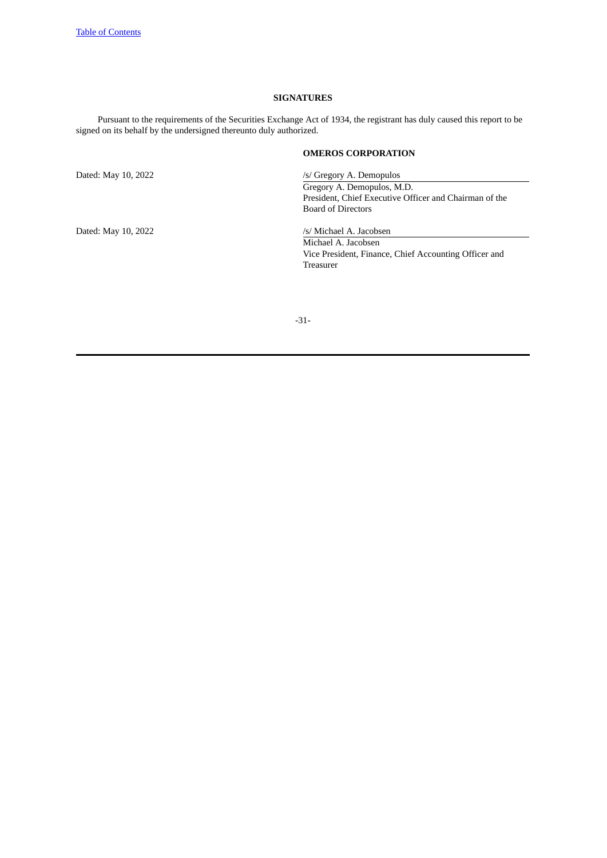### **SIGNATURES**

<span id="page-30-0"></span>Pursuant to the requirements of the Securities Exchange Act of 1934, the registrant has duly caused this report to be signed on its behalf by the undersigned thereunto duly authorized.

### **OMEROS CORPORATION**

Dated: May 10, 2022 /s/ Gregory A. Demopulos

Dated: May 10, 2022 /s/ Michael A. Jacobsen

Gregory A. Demopulos, M.D. President, Chief Executive Officer and Chairman of the Board of Directors

Michael A. Jacobsen Vice President, Finance, Chief Accounting Officer and Treasurer

-31-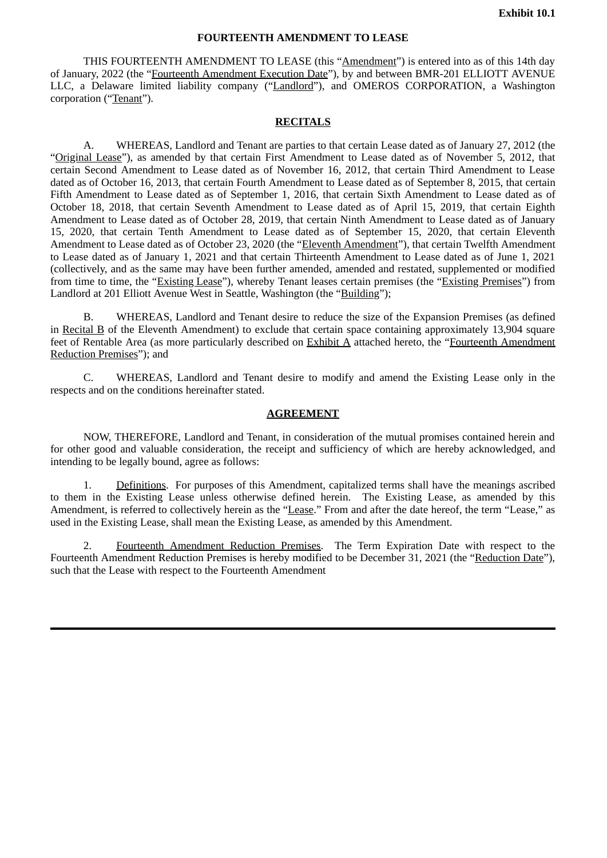### **FOURTEENTH AMENDMENT TO LEASE**

<span id="page-31-0"></span>THIS FOURTEENTH AMENDMENT TO LEASE (this "Amendment") is entered into as of this 14th day of January, 2022 (the "Fourteenth Amendment Execution Date"), by and between BMR-201 ELLIOTT AVENUE LLC, a Delaware limited liability company ("Landlord"), and OMEROS CORPORATION, a Washington corporation ("Tenant").

### **RECITALS**

A. WHEREAS, Landlord and Tenant are parties to that certain Lease dated as of January 27, 2012 (the "Original Lease"), as amended by that certain First Amendment to Lease dated as of November 5, 2012, that certain Second Amendment to Lease dated as of November 16, 2012, that certain Third Amendment to Lease dated as of October 16, 2013, that certain Fourth Amendment to Lease dated as of September 8, 2015, that certain Fifth Amendment to Lease dated as of September 1, 2016, that certain Sixth Amendment to Lease dated as of October 18, 2018, that certain Seventh Amendment to Lease dated as of April 15, 2019, that certain Eighth Amendment to Lease dated as of October 28, 2019, that certain Ninth Amendment to Lease dated as of January 15, 2020, that certain Tenth Amendment to Lease dated as of September 15, 2020, that certain Eleventh Amendment to Lease dated as of October 23, 2020 (the "Eleventh Amendment"), that certain Twelfth Amendment to Lease dated as of January 1, 2021 and that certain Thirteenth Amendment to Lease dated as of June 1, 2021 (collectively, and as the same may have been further amended, amended and restated, supplemented or modified from time to time, the "Existing Lease"), whereby Tenant leases certain premises (the "Existing Premises") from Landlord at 201 Elliott Avenue West in Seattle, Washington (the "Building");

WHEREAS, Landlord and Tenant desire to reduce the size of the Expansion Premises (as defined in Recital B of the Eleventh Amendment) to exclude that certain space containing approximately 13,904 square feet of Rentable Area (as more particularly described on Exhibit A attached hereto, the "Fourteenth Amendment Reduction Premises"); and

C. WHEREAS, Landlord and Tenant desire to modify and amend the Existing Lease only in the respects and on the conditions hereinafter stated.

### **AGREEMENT**

NOW, THEREFORE, Landlord and Tenant, in consideration of the mutual promises contained herein and for other good and valuable consideration, the receipt and sufficiency of which are hereby acknowledged, and intending to be legally bound, agree as follows:

1. Definitions. For purposes of this Amendment, capitalized terms shall have the meanings ascribed to them in the Existing Lease unless otherwise defined herein. The Existing Lease, as amended by this Amendment, is referred to collectively herein as the "Lease." From and after the date hereof, the term "Lease," as used in the Existing Lease, shall mean the Existing Lease, as amended by this Amendment.

2. Fourteenth Amendment Reduction Premises. The Term Expiration Date with respect to the Fourteenth Amendment Reduction Premises is hereby modified to be December 31, 2021 (the "Reduction Date"), such that the Lease with respect to the Fourteenth Amendment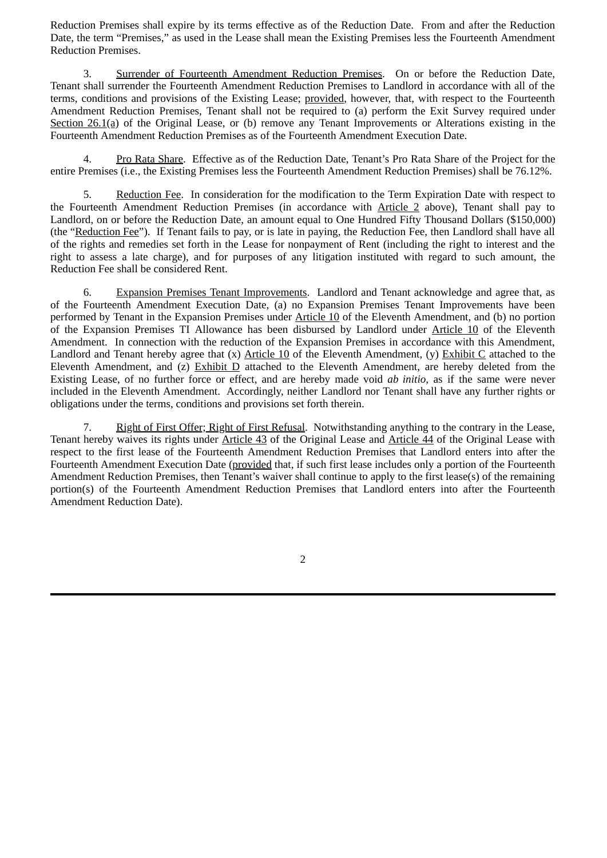Reduction Premises shall expire by its terms effective as of the Reduction Date. From and after the Reduction Date, the term "Premises," as used in the Lease shall mean the Existing Premises less the Fourteenth Amendment Reduction Premises.

3. Surrender of Fourteenth Amendment Reduction Premises. On or before the Reduction Date, Tenant shall surrender the Fourteenth Amendment Reduction Premises to Landlord in accordance with all of the terms, conditions and provisions of the Existing Lease; provided, however, that, with respect to the Fourteenth Amendment Reduction Premises, Tenant shall not be required to (a) perform the Exit Survey required under Section 26.1(a) of the Original Lease, or (b) remove any Tenant Improvements or Alterations existing in the Fourteenth Amendment Reduction Premises as of the Fourteenth Amendment Execution Date.

4. Pro Rata Share. Effective as of the Reduction Date, Tenant's Pro Rata Share of the Project for the entire Premises (i.e., the Existing Premises less the Fourteenth Amendment Reduction Premises) shall be 76.12%.

5. Reduction Fee. In consideration for the modification to the Term Expiration Date with respect to the Fourteenth Amendment Reduction Premises (in accordance with Article 2 above), Tenant shall pay to Landlord, on or before the Reduction Date, an amount equal to One Hundred Fifty Thousand Dollars (\$150,000) (the "Reduction Fee"). If Tenant fails to pay, or is late in paying, the Reduction Fee, then Landlord shall have all of the rights and remedies set forth in the Lease for nonpayment of Rent (including the right to interest and the right to assess a late charge), and for purposes of any litigation instituted with regard to such amount, the Reduction Fee shall be considered Rent.

6. Expansion Premises Tenant Improvements. Landlord and Tenant acknowledge and agree that, as of the Fourteenth Amendment Execution Date, (a) no Expansion Premises Tenant Improvements have been performed by Tenant in the Expansion Premises under Article 10 of the Eleventh Amendment, and (b) no portion of the Expansion Premises TI Allowance has been disbursed by Landlord under Article 10 of the Eleventh Amendment. In connection with the reduction of the Expansion Premises in accordance with this Amendment, Landlord and Tenant hereby agree that (x) Article 10 of the Eleventh Amendment, (y) Exhibit C attached to the Eleventh Amendment, and (z) Exhibit D attached to the Eleventh Amendment, are hereby deleted from the Existing Lease, of no further force or effect, and are hereby made void *ab initio*, as if the same were never included in the Eleventh Amendment. Accordingly, neither Landlord nor Tenant shall have any further rights or obligations under the terms, conditions and provisions set forth therein.

7. Right of First Offer; Right of First Refusal. Notwithstanding anything to the contrary in the Lease, Tenant hereby waives its rights under Article 43 of the Original Lease and Article 44 of the Original Lease with respect to the first lease of the Fourteenth Amendment Reduction Premises that Landlord enters into after the Fourteenth Amendment Execution Date (provided that, if such first lease includes only a portion of the Fourteenth Amendment Reduction Premises, then Tenant's waiver shall continue to apply to the first lease(s) of the remaining portion(s) of the Fourteenth Amendment Reduction Premises that Landlord enters into after the Fourteenth Amendment Reduction Date).

2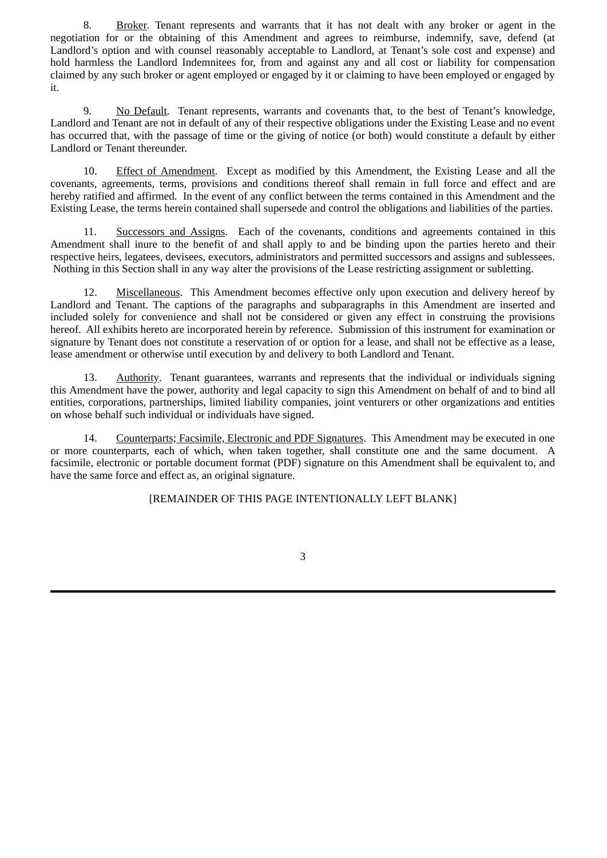8. Broker. Tenant represents and warrants that it has not dealt with any broker or agent in the negotiation for or the obtaining of this Amendment and agrees to reimburse, indemnify, save, defend (at Landlord's option and with counsel reasonably acceptable to Landlord, at Tenant's sole cost and expense) and hold harmless the Landlord Indemnitees for, from and against any and all cost or liability for compensation claimed by any such broker or agent employed or engaged by it or claiming to have been employed or engaged by it.

9. No Default. Tenant represents, warrants and covenants that, to the best of Tenant's knowledge, Landlord and Tenant are not in default of any of their respective obligations under the Existing Lease and no event has occurred that, with the passage of time or the giving of notice (or both) would constitute a default by either Landlord or Tenant thereunder.

10. Effect of Amendment. Except as modified by this Amendment, the Existing Lease and all the covenants, agreements, terms, provisions and conditions thereof shall remain in full force and effect and are hereby ratified and affirmed. In the event of any conflict between the terms contained in this Amendment and the Existing Lease, the terms herein contained shall supersede and control the obligations and liabilities of the parties.

11. Successors and Assigns. Each of the covenants, conditions and agreements contained in this Amendment shall inure to the benefit of and shall apply to and be binding upon the parties hereto and their respective heirs, legatees, devisees, executors, administrators and permitted successors and assigns and sublessees. Nothing in this Section shall in any way alter the provisions of the Lease restricting assignment or subletting.

12. Miscellaneous. This Amendment becomes effective only upon execution and delivery hereof by Landlord and Tenant. The captions of the paragraphs and subparagraphs in this Amendment are inserted and included solely for convenience and shall not be considered or given any effect in construing the provisions hereof. All exhibits hereto are incorporated herein by reference. Submission of this instrument for examination or signature by Tenant does not constitute a reservation of or option for a lease, and shall not be effective as a lease, lease amendment or otherwise until execution by and delivery to both Landlord and Tenant.

13. Authority. Tenant guarantees, warrants and represents that the individual or individuals signing this Amendment have the power, authority and legal capacity to sign this Amendment on behalf of and to bind all entities, corporations, partnerships, limited liability companies, joint venturers or other organizations and entities on whose behalf such individual or individuals have signed.

14. Counterparts; Facsimile, Electronic and PDF Signatures. This Amendment may be executed in one or more counterparts, each of which, when taken together, shall constitute one and the same document. A facsimile, electronic or portable document format (PDF) signature on this Amendment shall be equivalent to, and have the same force and effect as, an original signature.

[REMAINDER OF THIS PAGE INTENTIONALLY LEFT BLANK]

3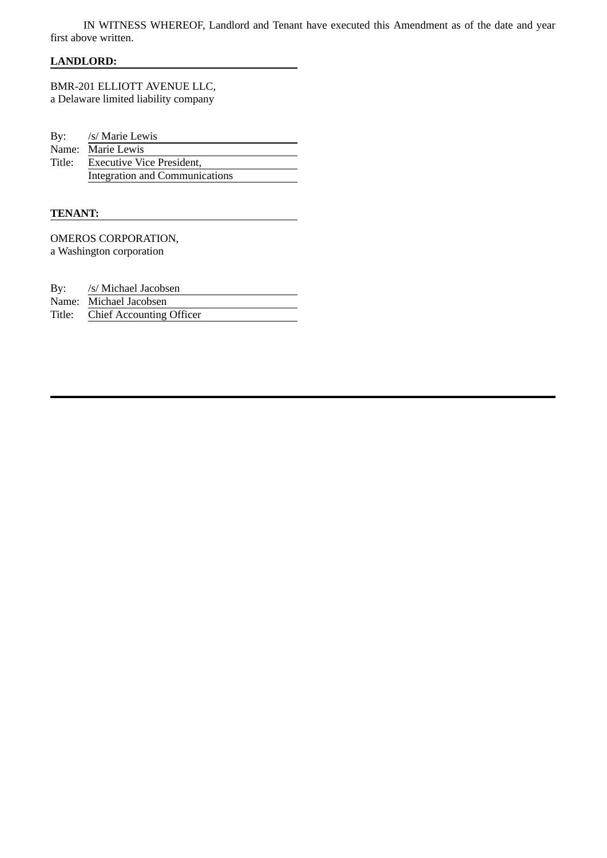IN WITNESS WHEREOF, Landlord and Tenant have executed this Amendment as of the date and year first above written.

### **LANDLORD:**

BMR-201 ELLIOTT AVENUE LLC, a Delaware limited liability company

| By:    | /s/ Marie Lewis                       |
|--------|---------------------------------------|
|        | Name: Marie Lewis                     |
| Title: | <b>Executive Vice President,</b>      |
|        | <b>Integration and Communications</b> |

### **TENANT:**

OMEROS CORPORATION, a Washington corporation

By: /s/ Michael Jacobsen

Name: Michael Jacobsen

Title: Chief Accounting Officer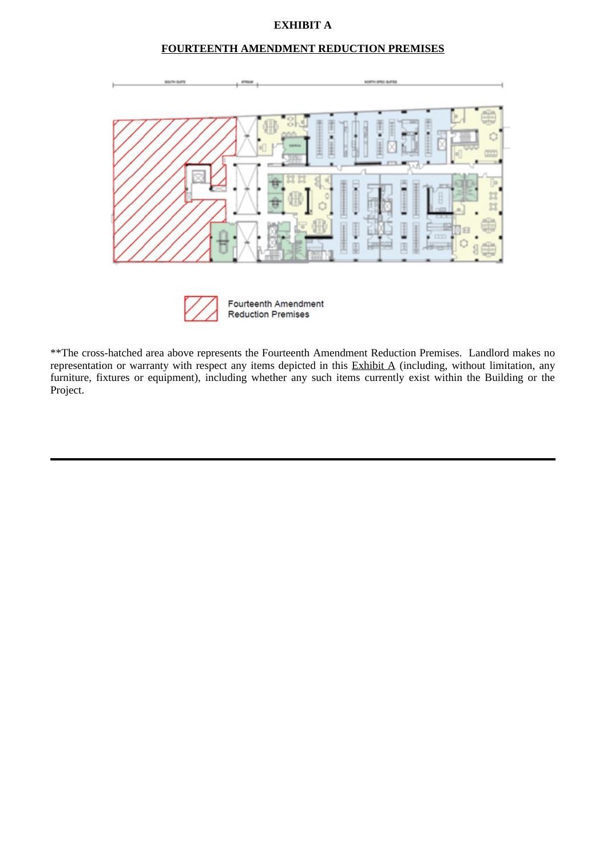### **EXHIBIT A**

### **FOURTEENTH AMENDMENT REDUCTION PREMISES**





Fourteenth Amendment **Reduction Premises** 

\*\*The cross-hatched area above represents the Fourteenth Amendment Reduction Premises. Landlord makes no representation or warranty with respect any items depicted in this **Exhibit A** (including, without limitation, any furniture, fixtures or equipment), including whether any such items currently exist within the Building or the Project.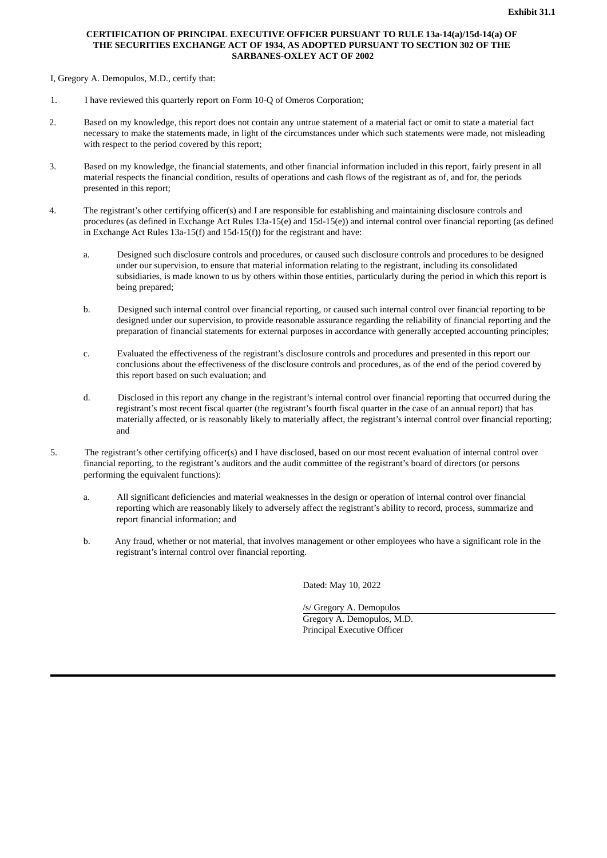#### <span id="page-36-0"></span>**CERTIFICATION OF PRINCIPAL EXECUTIVE OFFICER PURSUANT TO RULE 13a-14(a)/15d-14(a) OF THE SECURITIES EXCHANGE ACT OF 1934, AS ADOPTED PURSUANT TO SECTION 302 OF THE SARBANES-OXLEY ACT OF 2002**

I, Gregory A. Demopulos, M.D., certify that:

- 1. I have reviewed this quarterly report on Form 10-Q of Omeros Corporation;
- 2. Based on my knowledge, this report does not contain any untrue statement of a material fact or omit to state a material fact necessary to make the statements made, in light of the circumstances under which such statements were made, not misleading with respect to the period covered by this report;
- 3. Based on my knowledge, the financial statements, and other financial information included in this report, fairly present in all material respects the financial condition, results of operations and cash flows of the registrant as of, and for, the periods presented in this report;
- 4. The registrant's other certifying officer(s) and I are responsible for establishing and maintaining disclosure controls and procedures (as defined in Exchange Act Rules 13a-15(e) and 15d-15(e)) and internal control over financial reporting (as defined in Exchange Act Rules 13a-15(f) and 15d-15(f)) for the registrant and have:
	- a. Designed such disclosure controls and procedures, or caused such disclosure controls and procedures to be designed under our supervision, to ensure that material information relating to the registrant, including its consolidated subsidiaries, is made known to us by others within those entities, particularly during the period in which this report is being prepared;
	- b. Designed such internal control over financial reporting, or caused such internal control over financial reporting to be designed under our supervision, to provide reasonable assurance regarding the reliability of financial reporting and the preparation of financial statements for external purposes in accordance with generally accepted accounting principles;
	- c. Evaluated the effectiveness of the registrant's disclosure controls and procedures and presented in this report our conclusions about the effectiveness of the disclosure controls and procedures, as of the end of the period covered by this report based on such evaluation; and
	- d. Disclosed in this report any change in the registrant's internal control over financial reporting that occurred during the registrant's most recent fiscal quarter (the registrant's fourth fiscal quarter in the case of an annual report) that has materially affected, or is reasonably likely to materially affect, the registrant's internal control over financial reporting; and
- 5. The registrant's other certifying officer(s) and I have disclosed, based on our most recent evaluation of internal control over financial reporting, to the registrant's auditors and the audit committee of the registrant's board of directors (or persons performing the equivalent functions):
	- a. All significant deficiencies and material weaknesses in the design or operation of internal control over financial reporting which are reasonably likely to adversely affect the registrant's ability to record, process, summarize and report financial information; and
	- b. Any fraud, whether or not material, that involves management or other employees who have a significant role in the registrant's internal control over financial reporting.

Dated: May 10, 2022

/s/ Gregory A. Demopulos Gregory A. Demopulos, M.D. Principal Executive Officer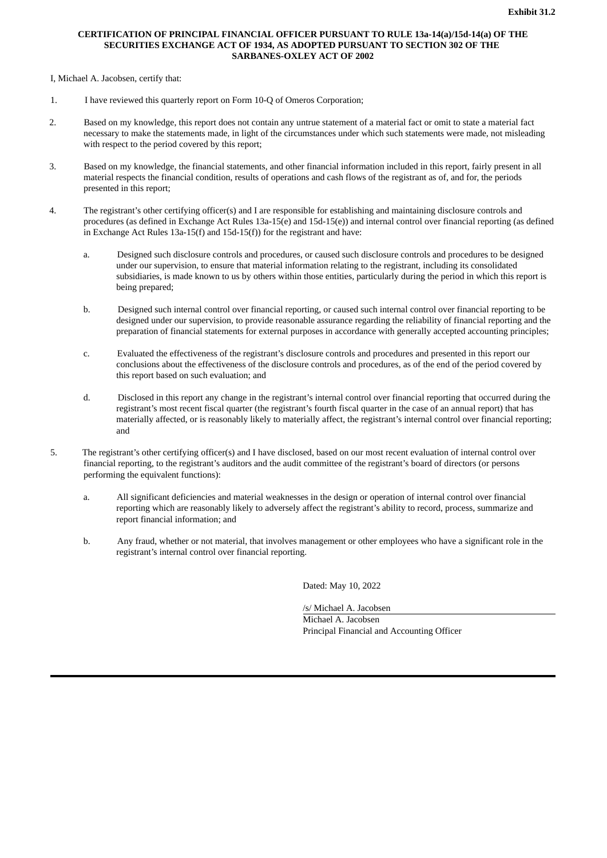#### <span id="page-37-0"></span>**CERTIFICATION OF PRINCIPAL FINANCIAL OFFICER PURSUANT TO RULE 13a-14(a)/15d-14(a) OF THE SECURITIES EXCHANGE ACT OF 1934, AS ADOPTED PURSUANT TO SECTION 302 OF THE SARBANES-OXLEY ACT OF 2002**

I, Michael A. Jacobsen, certify that:

- 1. I have reviewed this quarterly report on Form 10-Q of Omeros Corporation;
- 2. Based on my knowledge, this report does not contain any untrue statement of a material fact or omit to state a material fact necessary to make the statements made, in light of the circumstances under which such statements were made, not misleading with respect to the period covered by this report;
- 3. Based on my knowledge, the financial statements, and other financial information included in this report, fairly present in all material respects the financial condition, results of operations and cash flows of the registrant as of, and for, the periods presented in this report;
- 4. The registrant's other certifying officer(s) and I are responsible for establishing and maintaining disclosure controls and procedures (as defined in Exchange Act Rules 13a-15(e) and 15d-15(e)) and internal control over financial reporting (as defined in Exchange Act Rules 13a-15(f) and 15d-15(f)) for the registrant and have:
	- a. Designed such disclosure controls and procedures, or caused such disclosure controls and procedures to be designed under our supervision, to ensure that material information relating to the registrant, including its consolidated subsidiaries, is made known to us by others within those entities, particularly during the period in which this report is being prepared;
	- b. Designed such internal control over financial reporting, or caused such internal control over financial reporting to be designed under our supervision, to provide reasonable assurance regarding the reliability of financial reporting and the preparation of financial statements for external purposes in accordance with generally accepted accounting principles;
	- c. Evaluated the effectiveness of the registrant's disclosure controls and procedures and presented in this report our conclusions about the effectiveness of the disclosure controls and procedures, as of the end of the period covered by this report based on such evaluation; and
	- d. Disclosed in this report any change in the registrant's internal control over financial reporting that occurred during the registrant's most recent fiscal quarter (the registrant's fourth fiscal quarter in the case of an annual report) that has materially affected, or is reasonably likely to materially affect, the registrant's internal control over financial reporting; and
- 5. The registrant's other certifying officer(s) and I have disclosed, based on our most recent evaluation of internal control over financial reporting, to the registrant's auditors and the audit committee of the registrant's board of directors (or persons performing the equivalent functions):
	- a. All significant deficiencies and material weaknesses in the design or operation of internal control over financial reporting which are reasonably likely to adversely affect the registrant's ability to record, process, summarize and report financial information; and
	- b. Any fraud, whether or not material, that involves management or other employees who have a significant role in the registrant's internal control over financial reporting.

Dated: May 10, 2022

/s/ Michael A. Jacobsen Michael A. Jacobsen

Principal Financial and Accounting Officer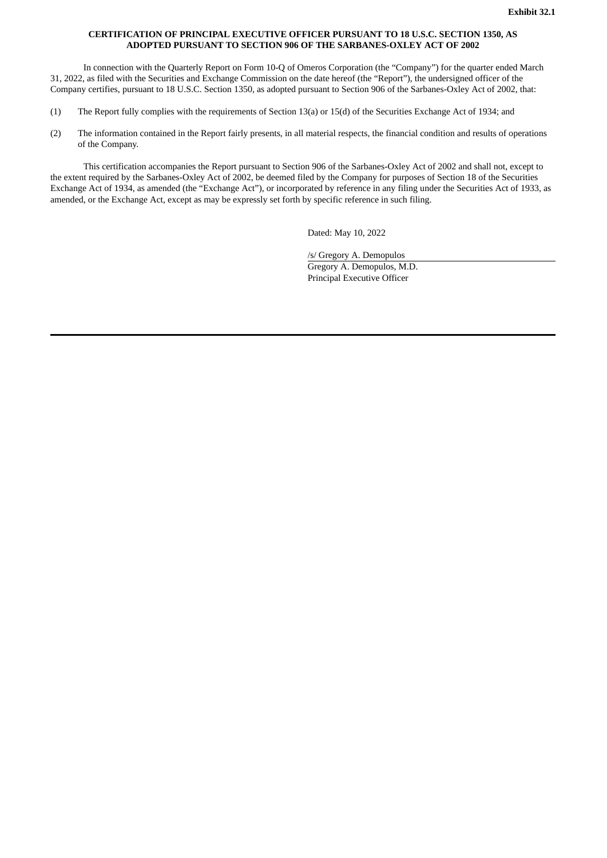#### **CERTIFICATION OF PRINCIPAL EXECUTIVE OFFICER PURSUANT TO 18 U.S.C. SECTION 1350, AS ADOPTED PURSUANT TO SECTION 906 OF THE SARBANES-OXLEY ACT OF 2002**

<span id="page-38-0"></span>In connection with the Quarterly Report on Form 10-Q of Omeros Corporation (the "Company") for the quarter ended March 31, 2022, as filed with the Securities and Exchange Commission on the date hereof (the "Report"), the undersigned officer of the Company certifies, pursuant to 18 U.S.C. Section 1350, as adopted pursuant to Section 906 of the Sarbanes-Oxley Act of 2002, that:

- (1) The Report fully complies with the requirements of Section 13(a) or 15(d) of the Securities Exchange Act of 1934; and
- (2) The information contained in the Report fairly presents, in all material respects, the financial condition and results of operations of the Company.

This certification accompanies the Report pursuant to Section 906 of the Sarbanes-Oxley Act of 2002 and shall not, except to the extent required by the Sarbanes-Oxley Act of 2002, be deemed filed by the Company for purposes of Section 18 of the Securities Exchange Act of 1934, as amended (the "Exchange Act"), or incorporated by reference in any filing under the Securities Act of 1933, as amended, or the Exchange Act, except as may be expressly set forth by specific reference in such filing.

Dated: May 10, 2022

/s/ Gregory A. Demopulos

Gregory A. Demopulos, M.D. Principal Executive Officer